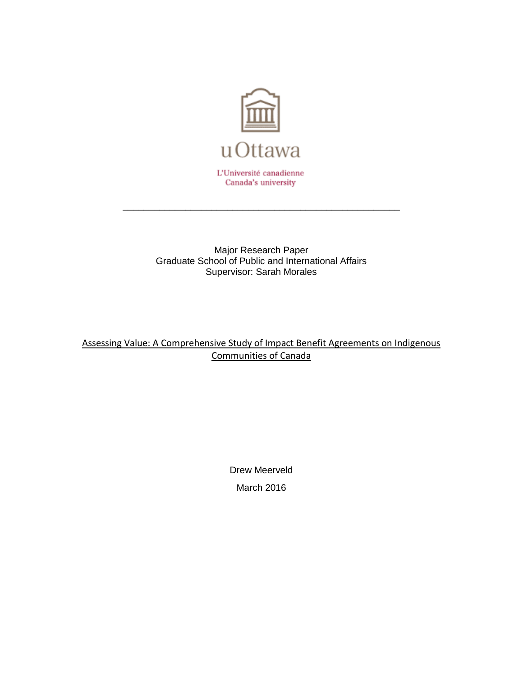

Major Research Paper Graduate School of Public and International Affairs Supervisor: Sarah Morales

\_\_\_\_\_\_\_\_\_\_\_\_\_\_\_\_\_\_\_\_\_\_\_\_\_\_\_\_\_\_\_\_\_\_\_\_\_\_\_\_\_\_\_\_\_\_\_\_\_\_\_\_\_

Assessing Value: A Comprehensive Study of Impact Benefit Agreements on Indigenous Communities of Canada

> Drew Meerveld March 2016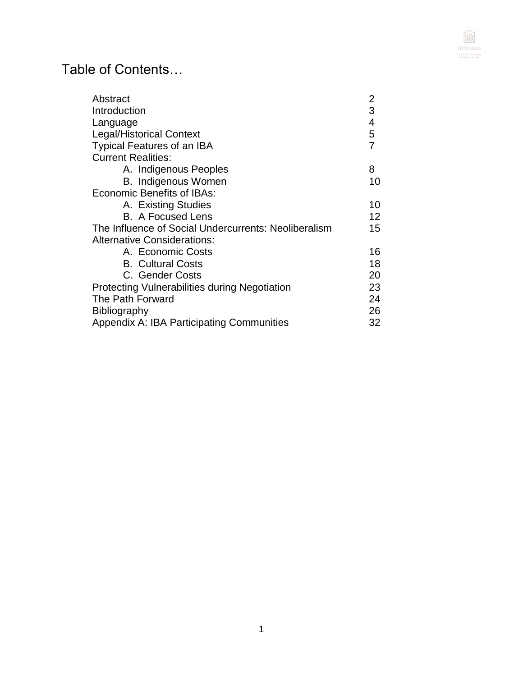

# Table of Contents…

| Abstract                                             | 2  |
|------------------------------------------------------|----|
| Introduction                                         | 3  |
| Language                                             | 4  |
| <b>Legal/Historical Context</b>                      | 5  |
| <b>Typical Features of an IBA</b>                    | 7  |
| <b>Current Realities:</b>                            |    |
| A. Indigenous Peoples                                | 8  |
| <b>B.</b> Indigenous Women                           | 10 |
| Economic Benefits of IBAs:                           |    |
| A. Existing Studies                                  | 10 |
| <b>B.</b> A Focused Lens                             | 12 |
| The Influence of Social Undercurrents: Neoliberalism | 15 |
| <b>Alternative Considerations:</b>                   |    |
| A. Economic Costs                                    | 16 |
| <b>B.</b> Cultural Costs                             | 18 |
| C. Gender Costs                                      | 20 |
| <b>Protecting Vulnerabilities during Negotiation</b> | 23 |
| The Path Forward                                     | 24 |
| Bibliography                                         | 26 |
| Appendix A: IBA Participating Communities            | 32 |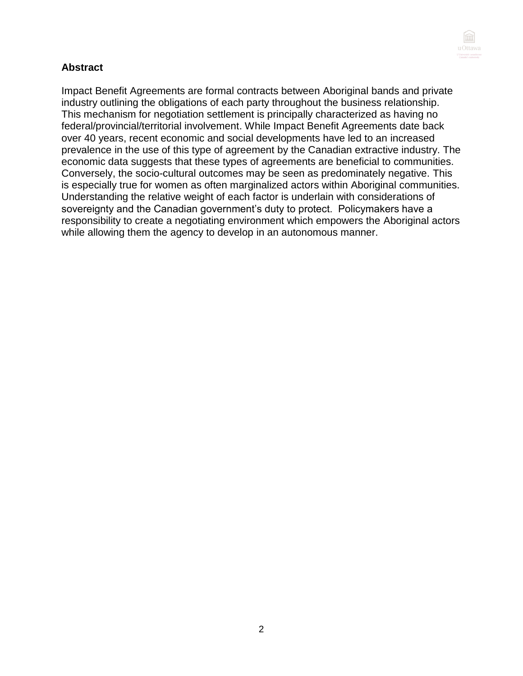

# **Abstract**

Impact Benefit Agreements are formal contracts between Aboriginal bands and private industry outlining the obligations of each party throughout the business relationship. This mechanism for negotiation settlement is principally characterized as having no federal/provincial/territorial involvement. While Impact Benefit Agreements date back over 40 years, recent economic and social developments have led to an increased prevalence in the use of this type of agreement by the Canadian extractive industry. The economic data suggests that these types of agreements are beneficial to communities. Conversely, the socio-cultural outcomes may be seen as predominately negative. This is especially true for women as often marginalized actors within Aboriginal communities. Understanding the relative weight of each factor is underlain with considerations of sovereignty and the Canadian government's duty to protect. Policymakers have a responsibility to create a negotiating environment which empowers the Aboriginal actors while allowing them the agency to develop in an autonomous manner.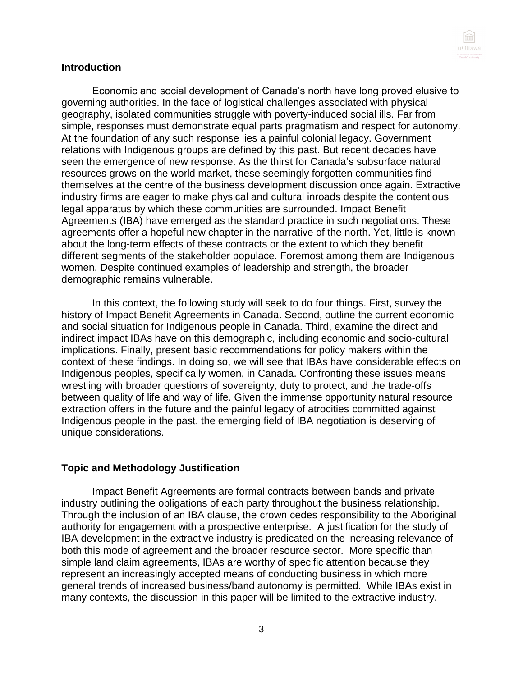

#### **Introduction**

Economic and social development of Canada's north have long proved elusive to governing authorities. In the face of logistical challenges associated with physical geography, isolated communities struggle with poverty-induced social ills. Far from simple, responses must demonstrate equal parts pragmatism and respect for autonomy. At the foundation of any such response lies a painful colonial legacy. Government relations with Indigenous groups are defined by this past. But recent decades have seen the emergence of new response. As the thirst for Canada's subsurface natural resources grows on the world market, these seemingly forgotten communities find themselves at the centre of the business development discussion once again. Extractive industry firms are eager to make physical and cultural inroads despite the contentious legal apparatus by which these communities are surrounded. Impact Benefit Agreements (IBA) have emerged as the standard practice in such negotiations. These agreements offer a hopeful new chapter in the narrative of the north. Yet, little is known about the long-term effects of these contracts or the extent to which they benefit different segments of the stakeholder populace. Foremost among them are Indigenous women. Despite continued examples of leadership and strength, the broader demographic remains vulnerable.

In this context, the following study will seek to do four things. First, survey the history of Impact Benefit Agreements in Canada. Second, outline the current economic and social situation for Indigenous people in Canada. Third, examine the direct and indirect impact IBAs have on this demographic, including economic and socio-cultural implications. Finally, present basic recommendations for policy makers within the context of these findings. In doing so, we will see that IBAs have considerable effects on Indigenous peoples, specifically women, in Canada. Confronting these issues means wrestling with broader questions of sovereignty, duty to protect, and the trade-offs between quality of life and way of life. Given the immense opportunity natural resource extraction offers in the future and the painful legacy of atrocities committed against Indigenous people in the past, the emerging field of IBA negotiation is deserving of unique considerations.

#### **Topic and Methodology Justification**

Impact Benefit Agreements are formal contracts between bands and private industry outlining the obligations of each party throughout the business relationship. Through the inclusion of an IBA clause, the crown cedes responsibility to the Aboriginal authority for engagement with a prospective enterprise. A justification for the study of IBA development in the extractive industry is predicated on the increasing relevance of both this mode of agreement and the broader resource sector. More specific than simple land claim agreements, IBAs are worthy of specific attention because they represent an increasingly accepted means of conducting business in which more general trends of increased business/band autonomy is permitted. While IBAs exist in many contexts, the discussion in this paper will be limited to the extractive industry.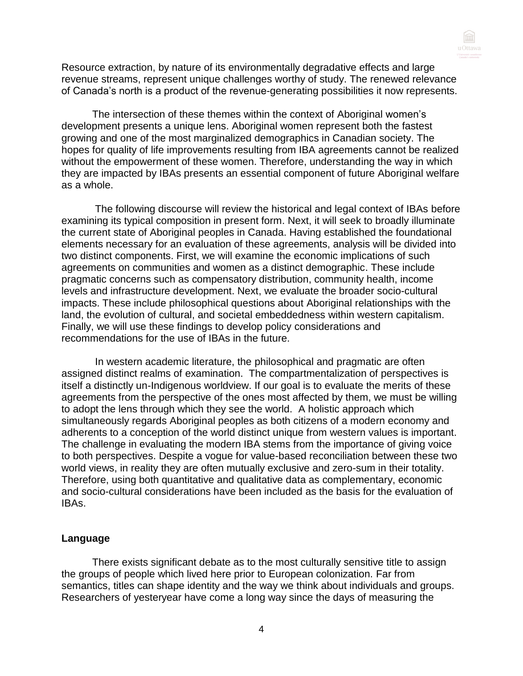

Resource extraction, by nature of its environmentally degradative effects and large revenue streams, represent unique challenges worthy of study. The renewed relevance of Canada's north is a product of the revenue-generating possibilities it now represents.

The intersection of these themes within the context of Aboriginal women's development presents a unique lens. Aboriginal women represent both the fastest growing and one of the most marginalized demographics in Canadian society. The hopes for quality of life improvements resulting from IBA agreements cannot be realized without the empowerment of these women. Therefore, understanding the way in which they are impacted by IBAs presents an essential component of future Aboriginal welfare as a whole.

The following discourse will review the historical and legal context of IBAs before examining its typical composition in present form. Next, it will seek to broadly illuminate the current state of Aboriginal peoples in Canada. Having established the foundational elements necessary for an evaluation of these agreements, analysis will be divided into two distinct components. First, we will examine the economic implications of such agreements on communities and women as a distinct demographic. These include pragmatic concerns such as compensatory distribution, community health, income levels and infrastructure development. Next, we evaluate the broader socio-cultural impacts. These include philosophical questions about Aboriginal relationships with the land, the evolution of cultural, and societal embeddedness within western capitalism. Finally, we will use these findings to develop policy considerations and recommendations for the use of IBAs in the future.

In western academic literature, the philosophical and pragmatic are often assigned distinct realms of examination. The compartmentalization of perspectives is itself a distinctly un-Indigenous worldview. If our goal is to evaluate the merits of these agreements from the perspective of the ones most affected by them, we must be willing to adopt the lens through which they see the world. A holistic approach which simultaneously regards Aboriginal peoples as both citizens of a modern economy and adherents to a conception of the world distinct unique from western values is important. The challenge in evaluating the modern IBA stems from the importance of giving voice to both perspectives. Despite a vogue for value-based reconciliation between these two world views, in reality they are often mutually exclusive and zero-sum in their totality. Therefore, using both quantitative and qualitative data as complementary, economic and socio-cultural considerations have been included as the basis for the evaluation of IBAs.

#### **Language**

There exists significant debate as to the most culturally sensitive title to assign the groups of people which lived here prior to European colonization. Far from semantics, titles can shape identity and the way we think about individuals and groups. Researchers of yesteryear have come a long way since the days of measuring the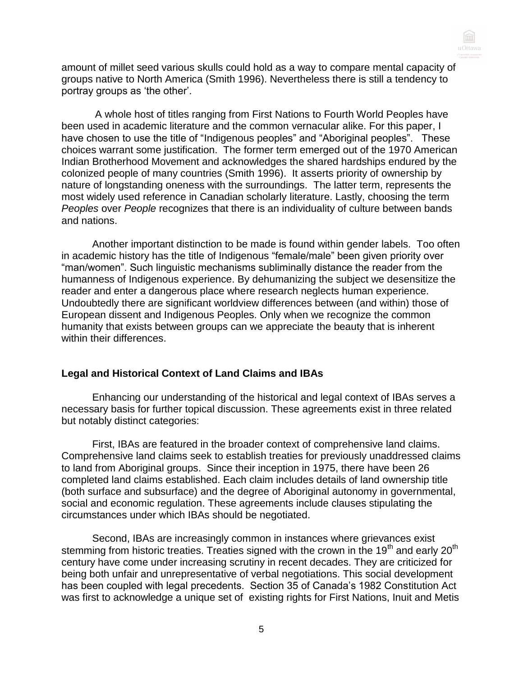

amount of millet seed various skulls could hold as a way to compare mental capacity of groups native to North America (Smith 1996). Nevertheless there is still a tendency to portray groups as 'the other'.

A whole host of titles ranging from First Nations to Fourth World Peoples have been used in academic literature and the common vernacular alike. For this paper, I have chosen to use the title of "Indigenous peoples" and "Aboriginal peoples". These choices warrant some justification. The former term emerged out of the 1970 American Indian Brotherhood Movement and acknowledges the shared hardships endured by the colonized people of many countries (Smith 1996). It asserts priority of ownership by nature of longstanding oneness with the surroundings. The latter term, represents the most widely used reference in Canadian scholarly literature. Lastly, choosing the term *Peoples* over *People* recognizes that there is an individuality of culture between bands and nations.

Another important distinction to be made is found within gender labels. Too often in academic history has the title of Indigenous "female/male" been given priority over "man/women". Such linguistic mechanisms subliminally distance the reader from the humanness of Indigenous experience. By dehumanizing the subject we desensitize the reader and enter a dangerous place where research neglects human experience. Undoubtedly there are significant worldview differences between (and within) those of European dissent and Indigenous Peoples. Only when we recognize the common humanity that exists between groups can we appreciate the beauty that is inherent within their differences.

#### **Legal and Historical Context of Land Claims and IBAs**

Enhancing our understanding of the historical and legal context of IBAs serves a necessary basis for further topical discussion. These agreements exist in three related but notably distinct categories:

First, IBAs are featured in the broader context of comprehensive land claims. Comprehensive land claims seek to establish treaties for previously unaddressed claims to land from Aboriginal groups. Since their inception in 1975, there have been 26 completed land claims established. Each claim includes details of land ownership title (both surface and subsurface) and the degree of Aboriginal autonomy in governmental, social and economic regulation. These agreements include clauses stipulating the circumstances under which IBAs should be negotiated.

Second, IBAs are increasingly common in instances where grievances exist stemming from historic treaties. Treaties signed with the crown in the 19<sup>th</sup> and early 20<sup>th</sup> century have come under increasing scrutiny in recent decades. They are criticized for being both unfair and unrepresentative of verbal negotiations. This social development has been coupled with legal precedents. Section 35 of Canada's 1982 Constitution Act was first to acknowledge a unique set of existing rights for First Nations, Inuit and Metis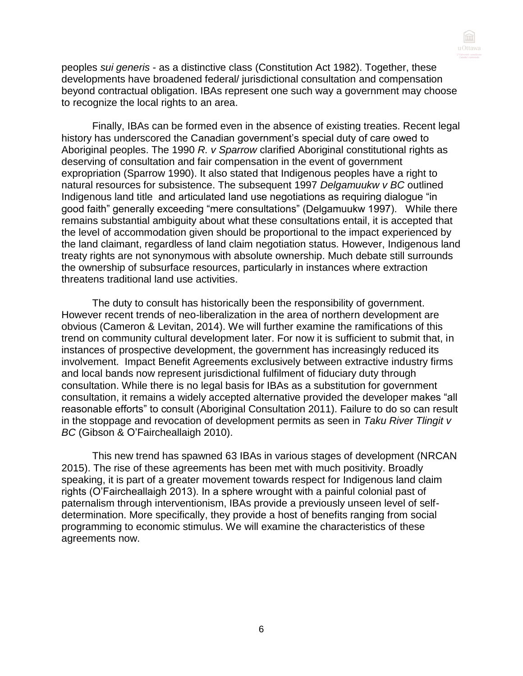

peoples *sui generis* - as a distinctive class (Constitution Act 1982). Together, these developments have broadened federal/ jurisdictional consultation and compensation beyond contractual obligation. IBAs represent one such way a government may choose to recognize the local rights to an area.

Finally, IBAs can be formed even in the absence of existing treaties. Recent legal history has underscored the Canadian government's special duty of care owed to Aboriginal peoples. The 1990 *R. v Sparrow* clarified Aboriginal constitutional rights as deserving of consultation and fair compensation in the event of government expropriation (Sparrow 1990). It also stated that Indigenous peoples have a right to natural resources for subsistence. The subsequent 1997 *Delgamuukw v BC* outlined Indigenous land title and articulated land use negotiations as requiring dialogue "in good faith" generally exceeding "mere consultations" (Delgamuukw 1997). While there remains substantial ambiguity about what these consultations entail, it is accepted that the level of accommodation given should be proportional to the impact experienced by the land claimant, regardless of land claim negotiation status. However, Indigenous land treaty rights are not synonymous with absolute ownership. Much debate still surrounds the ownership of subsurface resources, particularly in instances where extraction threatens traditional land use activities.

The duty to consult has historically been the responsibility of government. However recent trends of neo-liberalization in the area of northern development are obvious (Cameron & Levitan, 2014). We will further examine the ramifications of this trend on community cultural development later. For now it is sufficient to submit that, in instances of prospective development, the government has increasingly reduced its involvement. Impact Benefit Agreements exclusively between extractive industry firms and local bands now represent jurisdictional fulfilment of fiduciary duty through consultation. While there is no legal basis for IBAs as a substitution for government consultation, it remains a widely accepted alternative provided the developer makes "all reasonable efforts" to consult (Aboriginal Consultation 2011). Failure to do so can result in the stoppage and revocation of development permits as seen in *Taku River Tlingit v BC* (Gibson & O'Faircheallaigh 2010).

This new trend has spawned 63 IBAs in various stages of development (NRCAN 2015). The rise of these agreements has been met with much positivity. Broadly speaking, it is part of a greater movement towards respect for Indigenous land claim rights (O'Faircheallaigh 2013). In a sphere wrought with a painful colonial past of paternalism through interventionism, IBAs provide a previously unseen level of selfdetermination. More specifically, they provide a host of benefits ranging from social programming to economic stimulus. We will examine the characteristics of these agreements now.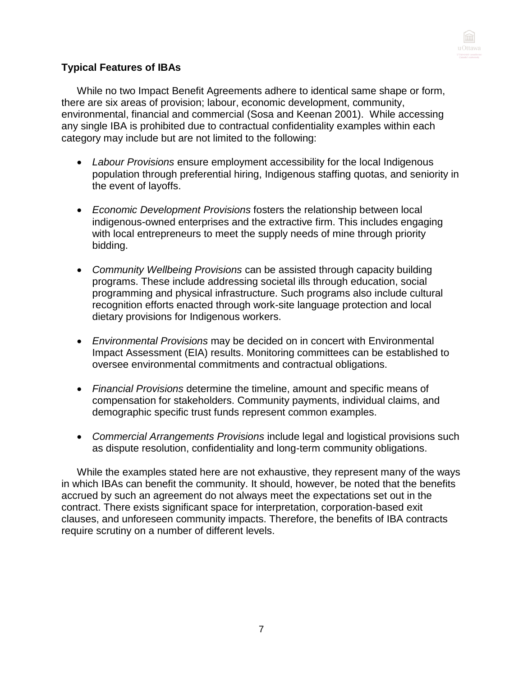

# **Typical Features of IBAs**

While no two Impact Benefit Agreements adhere to identical same shape or form, there are six areas of provision; labour, economic development, community, environmental, financial and commercial (Sosa and Keenan 2001). While accessing any single IBA is prohibited due to contractual confidentiality examples within each category may include but are not limited to the following:

- *Labour Provisions* ensure employment accessibility for the local Indigenous population through preferential hiring, Indigenous staffing quotas, and seniority in the event of layoffs.
- *Economic Development Provisions* fosters the relationship between local indigenous-owned enterprises and the extractive firm. This includes engaging with local entrepreneurs to meet the supply needs of mine through priority bidding.
- *Community Wellbeing Provisions* can be assisted through capacity building programs. These include addressing societal ills through education, social programming and physical infrastructure. Such programs also include cultural recognition efforts enacted through work-site language protection and local dietary provisions for Indigenous workers.
- *Environmental Provisions* may be decided on in concert with Environmental Impact Assessment (EIA) results. Monitoring committees can be established to oversee environmental commitments and contractual obligations.
- *Financial Provisions* determine the timeline, amount and specific means of compensation for stakeholders. Community payments, individual claims, and demographic specific trust funds represent common examples.
- *Commercial Arrangements Provisions* include legal and logistical provisions such as dispute resolution, confidentiality and long-term community obligations.

While the examples stated here are not exhaustive, they represent many of the ways in which IBAs can benefit the community. It should, however, be noted that the benefits accrued by such an agreement do not always meet the expectations set out in the contract. There exists significant space for interpretation, corporation-based exit clauses, and unforeseen community impacts. Therefore, the benefits of IBA contracts require scrutiny on a number of different levels.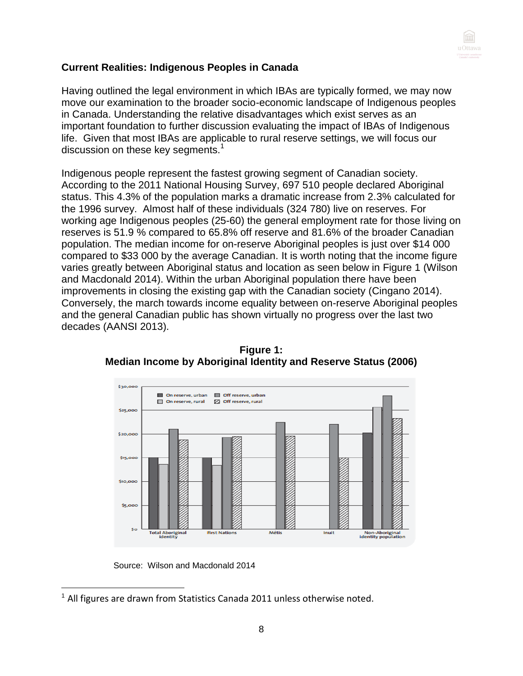

# **Current Realities: Indigenous Peoples in Canada**

Having outlined the legal environment in which IBAs are typically formed, we may now move our examination to the broader socio-economic landscape of Indigenous peoples in Canada. Understanding the relative disadvantages which exist serves as an important foundation to further discussion evaluating the impact of IBAs of Indigenous life. Given that most IBAs are applicable to rural reserve settings, we will focus our discussion on these key segments.<sup>1</sup>

Indigenous people represent the fastest growing segment of Canadian society. According to the 2011 National Housing Survey, 697 510 people declared Aboriginal status. This 4.3% of the population marks a dramatic increase from 2.3% calculated for the 1996 survey. Almost half of these individuals (324 780) live on reserves. For working age Indigenous peoples (25-60) the general employment rate for those living on reserves is 51.9 % compared to 65.8% off reserve and 81.6% of the broader Canadian population. The median income for on-reserve Aboriginal peoples is just over \$14 000 compared to \$33 000 by the average Canadian. It is worth noting that the income figure varies greatly between Aboriginal status and location as seen below in Figure 1 (Wilson and Macdonald 2014). Within the urban Aboriginal population there have been improvements in closing the existing gap with the Canadian society (Cingano 2014). Conversely, the march towards income equality between on-reserve Aboriginal peoples and the general Canadian public has shown virtually no progress over the last two decades (AANSI 2013).



**Figure 1: Median Income by Aboriginal Identity and Reserve Status (2006)**

Source: Wilson and Macdonald 2014

  $1$  All figures are drawn from Statistics Canada 2011 unless otherwise noted.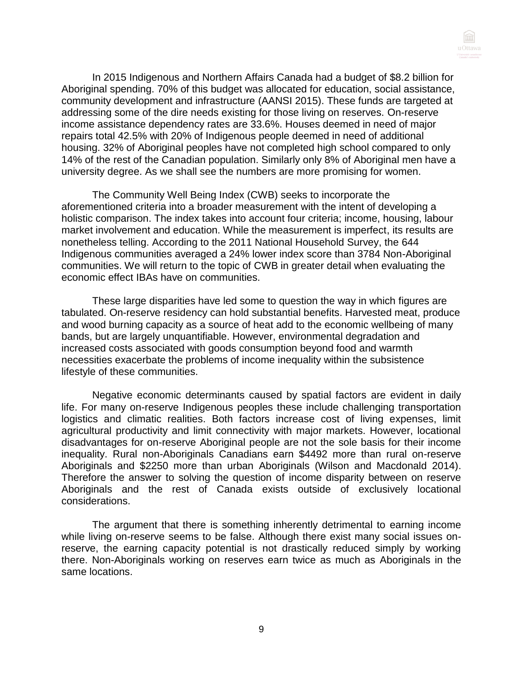

In 2015 Indigenous and Northern Affairs Canada had a budget of \$8.2 billion for Aboriginal spending. 70% of this budget was allocated for education, social assistance, community development and infrastructure (AANSI 2015). These funds are targeted at addressing some of the dire needs existing for those living on reserves. On-reserve income assistance dependency rates are 33.6%. Houses deemed in need of major repairs total 42.5% with 20% of Indigenous people deemed in need of additional housing. 32% of Aboriginal peoples have not completed high school compared to only 14% of the rest of the Canadian population. Similarly only 8% of Aboriginal men have a university degree. As we shall see the numbers are more promising for women.

The Community Well Being Index (CWB) seeks to incorporate the aforementioned criteria into a broader measurement with the intent of developing a holistic comparison. The index takes into account four criteria; income, housing, labour market involvement and education. While the measurement is imperfect, its results are nonetheless telling. According to the 2011 National Household Survey, the 644 Indigenous communities averaged a 24% lower index score than 3784 Non-Aboriginal communities. We will return to the topic of CWB in greater detail when evaluating the economic effect IBAs have on communities.

These large disparities have led some to question the way in which figures are tabulated. On-reserve residency can hold substantial benefits. Harvested meat, produce and wood burning capacity as a source of heat add to the economic wellbeing of many bands, but are largely unquantifiable. However, environmental degradation and increased costs associated with goods consumption beyond food and warmth necessities exacerbate the problems of income inequality within the subsistence lifestyle of these communities.

Negative economic determinants caused by spatial factors are evident in daily life. For many on-reserve Indigenous peoples these include challenging transportation logistics and climatic realities. Both factors increase cost of living expenses, limit agricultural productivity and limit connectivity with major markets. However, locational disadvantages for on-reserve Aboriginal people are not the sole basis for their income inequality. Rural non-Aboriginals Canadians earn \$4492 more than rural on-reserve Aboriginals and \$2250 more than urban Aboriginals (Wilson and Macdonald 2014). Therefore the answer to solving the question of income disparity between on reserve Aboriginals and the rest of Canada exists outside of exclusively locational considerations.

The argument that there is something inherently detrimental to earning income while living on-reserve seems to be false. Although there exist many social issues onreserve, the earning capacity potential is not drastically reduced simply by working there. Non-Aboriginals working on reserves earn twice as much as Aboriginals in the same locations.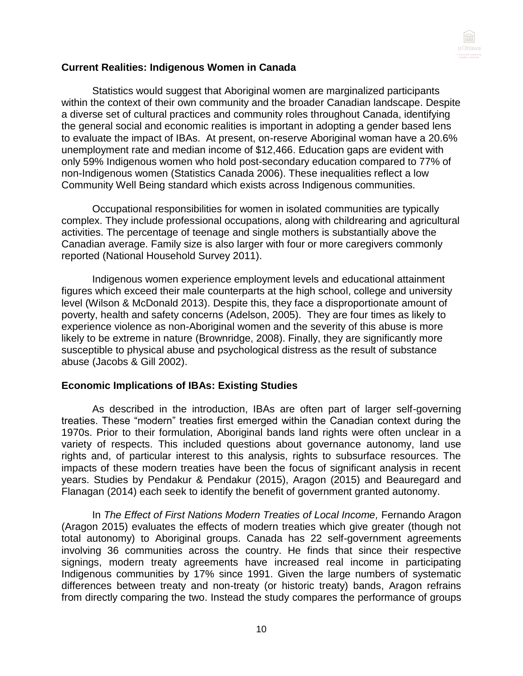

#### **Current Realities: Indigenous Women in Canada**

Statistics would suggest that Aboriginal women are marginalized participants within the context of their own community and the broader Canadian landscape. Despite a diverse set of cultural practices and community roles throughout Canada, identifying the general social and economic realities is important in adopting a gender based lens to evaluate the impact of IBAs. At present, on-reserve Aboriginal woman have a 20.6% unemployment rate and median income of \$12,466. Education gaps are evident with only 59% Indigenous women who hold post-secondary education compared to 77% of non-Indigenous women (Statistics Canada 2006). These inequalities reflect a low Community Well Being standard which exists across Indigenous communities.

Occupational responsibilities for women in isolated communities are typically complex. They include professional occupations, along with childrearing and agricultural activities. The percentage of teenage and single mothers is substantially above the Canadian average. Family size is also larger with four or more caregivers commonly reported (National Household Survey 2011).

Indigenous women experience employment levels and educational attainment figures which exceed their male counterparts at the high school, college and university level (Wilson & McDonald 2013). Despite this, they face a disproportionate amount of poverty, health and safety concerns (Adelson, 2005). They are four times as likely to experience violence as non-Aboriginal women and the severity of this abuse is more likely to be extreme in nature (Brownridge, 2008). Finally, they are significantly more susceptible to physical abuse and psychological distress as the result of substance abuse (Jacobs & Gill 2002).

#### **Economic Implications of IBAs: Existing Studies**

As described in the introduction, IBAs are often part of larger self-governing treaties. These "modern" treaties first emerged within the Canadian context during the 1970s. Prior to their formulation, Aboriginal bands land rights were often unclear in a variety of respects. This included questions about governance autonomy, land use rights and, of particular interest to this analysis, rights to subsurface resources. The impacts of these modern treaties have been the focus of significant analysis in recent years. Studies by Pendakur & Pendakur (2015), Aragon (2015) and Beauregard and Flanagan (2014) each seek to identify the benefit of government granted autonomy.

In *The Effect of First Nations Modern Treaties of Local Income,* Fernando Aragon (Aragon 2015) evaluates the effects of modern treaties which give greater (though not total autonomy) to Aboriginal groups. Canada has 22 self-government agreements involving 36 communities across the country. He finds that since their respective signings, modern treaty agreements have increased real income in participating Indigenous communities by 17% since 1991. Given the large numbers of systematic differences between treaty and non-treaty (or historic treaty) bands, Aragon refrains from directly comparing the two. Instead the study compares the performance of groups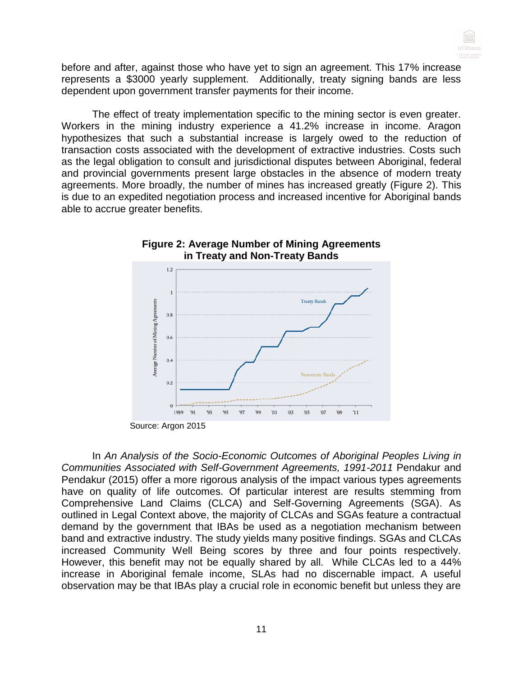before and after, against those who have yet to sign an agreement. This 17% increase represents a \$3000 yearly supplement. Additionally, treaty signing bands are less dependent upon government transfer payments for their income.

The effect of treaty implementation specific to the mining sector is even greater. Workers in the mining industry experience a 41.2% increase in income. Aragon hypothesizes that such a substantial increase is largely owed to the reduction of transaction costs associated with the development of extractive industries. Costs such as the legal obligation to consult and jurisdictional disputes between Aboriginal, federal and provincial governments present large obstacles in the absence of modern treaty agreements. More broadly, the number of mines has increased greatly (Figure 2). This is due to an expedited negotiation process and increased incentive for Aboriginal bands able to accrue greater benefits.



# **Figure 2: Average Number of Mining Agreements in Treaty and Non-Treaty Bands**

In *An Analysis of the Socio-Economic Outcomes of Aboriginal Peoples Living in Communities Associated with Self-Government Agreements, 1991-2011* Pendakur and Pendakur (2015) offer a more rigorous analysis of the impact various types agreements have on quality of life outcomes. Of particular interest are results stemming from Comprehensive Land Claims (CLCA) and Self-Governing Agreements (SGA). As outlined in Legal Context above, the majority of CLCAs and SGAs feature a contractual demand by the government that IBAs be used as a negotiation mechanism between band and extractive industry. The study yields many positive findings. SGAs and CLCAs increased Community Well Being scores by three and four points respectively. However, this benefit may not be equally shared by all. While CLCAs led to a 44% increase in Aboriginal female income, SLAs had no discernable impact. A useful observation may be that IBAs play a crucial role in economic benefit but unless they are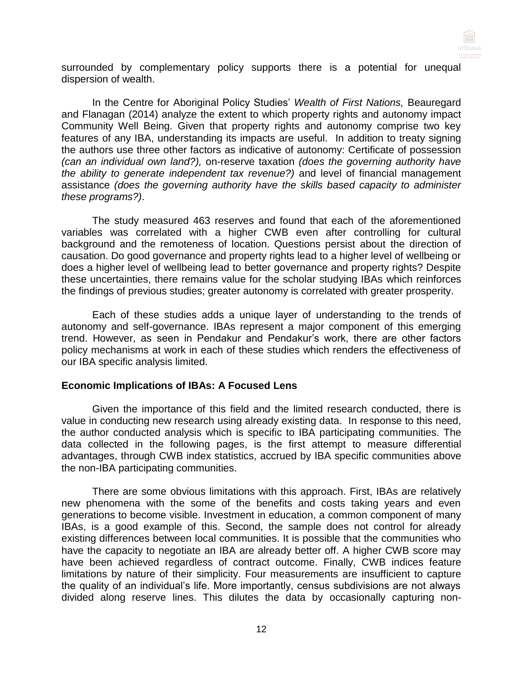

surrounded by complementary policy supports there is a potential for unequal dispersion of wealth.

In the Centre for Aboriginal Policy Studies' *Wealth of First Nations,* Beauregard and Flanagan (2014) analyze the extent to which property rights and autonomy impact Community Well Being. Given that property rights and autonomy comprise two key features of any IBA, understanding its impacts are useful. In addition to treaty signing the authors use three other factors as indicative of autonomy: Certificate of possession *(can an individual own land?),* on-reserve taxation *(does the governing authority have the ability to generate independent tax revenue?)* and level of financial management assistance *(does the governing authority have the skills based capacity to administer these programs?)*.

The study measured 463 reserves and found that each of the aforementioned variables was correlated with a higher CWB even after controlling for cultural background and the remoteness of location. Questions persist about the direction of causation. Do good governance and property rights lead to a higher level of wellbeing or does a higher level of wellbeing lead to better governance and property rights? Despite these uncertainties, there remains value for the scholar studying IBAs which reinforces the findings of previous studies; greater autonomy is correlated with greater prosperity.

Each of these studies adds a unique layer of understanding to the trends of autonomy and self-governance. IBAs represent a major component of this emerging trend. However, as seen in Pendakur and Pendakur's work, there are other factors policy mechanisms at work in each of these studies which renders the effectiveness of our IBA specific analysis limited.

#### **Economic Implications of IBAs: A Focused Lens**

Given the importance of this field and the limited research conducted, there is value in conducting new research using already existing data. In response to this need, the author conducted analysis which is specific to IBA participating communities. The data collected in the following pages, is the first attempt to measure differential advantages, through CWB index statistics, accrued by IBA specific communities above the non-IBA participating communities.

There are some obvious limitations with this approach. First, IBAs are relatively new phenomena with the some of the benefits and costs taking years and even generations to become visible. Investment in education, a common component of many IBAs, is a good example of this. Second, the sample does not control for already existing differences between local communities. It is possible that the communities who have the capacity to negotiate an IBA are already better off. A higher CWB score may have been achieved regardless of contract outcome. Finally, CWB indices feature limitations by nature of their simplicity. Four measurements are insufficient to capture the quality of an individual's life. More importantly, census subdivisions are not always divided along reserve lines. This dilutes the data by occasionally capturing non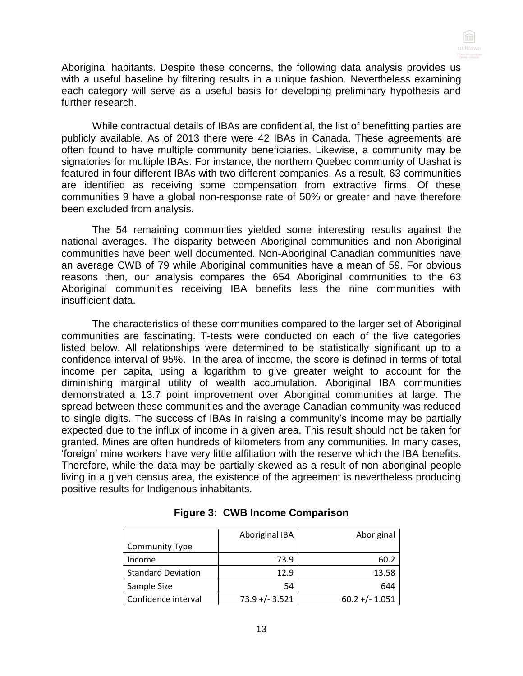Aboriginal habitants. Despite these concerns, the following data analysis provides us with a useful baseline by filtering results in a unique fashion. Nevertheless examining each category will serve as a useful basis for developing preliminary hypothesis and further research.

While contractual details of IBAs are confidential, the list of benefitting parties are publicly available. As of 2013 there were 42 IBAs in Canada. These agreements are often found to have multiple community beneficiaries. Likewise, a community may be signatories for multiple IBAs. For instance, the northern Quebec community of Uashat is featured in four different IBAs with two different companies. As a result, 63 communities are identified as receiving some compensation from extractive firms. Of these communities 9 have a global non-response rate of 50% or greater and have therefore been excluded from analysis.

The 54 remaining communities yielded some interesting results against the national averages. The disparity between Aboriginal communities and non-Aboriginal communities have been well documented. Non-Aboriginal Canadian communities have an average CWB of 79 while Aboriginal communities have a mean of 59. For obvious reasons then, our analysis compares the 654 Aboriginal communities to the 63 Aboriginal communities receiving IBA benefits less the nine communities with insufficient data.

The characteristics of these communities compared to the larger set of Aboriginal communities are fascinating. T-tests were conducted on each of the five categories listed below. All relationships were determined to be statistically significant up to a confidence interval of 95%. In the area of income, the score is defined in terms of total income per capita, using a logarithm to give greater weight to account for the diminishing marginal utility of wealth accumulation. Aboriginal IBA communities demonstrated a 13.7 point improvement over Aboriginal communities at large. The spread between these communities and the average Canadian community was reduced to single digits. The success of IBAs in raising a community's income may be partially expected due to the influx of income in a given area. This result should not be taken for granted. Mines are often hundreds of kilometers from any communities. In many cases, 'foreign' mine workers have very little affiliation with the reserve which the IBA benefits. Therefore, while the data may be partially skewed as a result of non-aboriginal people living in a given census area, the existence of the agreement is nevertheless producing positive results for Indigenous inhabitants.

|                           | Aboriginal IBA    | Aboriginal        |
|---------------------------|-------------------|-------------------|
| <b>Community Type</b>     |                   |                   |
| Income                    | 73.9              | 60.2              |
| <b>Standard Deviation</b> | 12.9              | 13.58             |
| Sample Size               | 54                | 644               |
| Confidence interval       | $73.9 + (-3.521)$ | $60.2 + (-1.051)$ |

| <b>Figure 3: CWB Income Comparison</b> |
|----------------------------------------|
|----------------------------------------|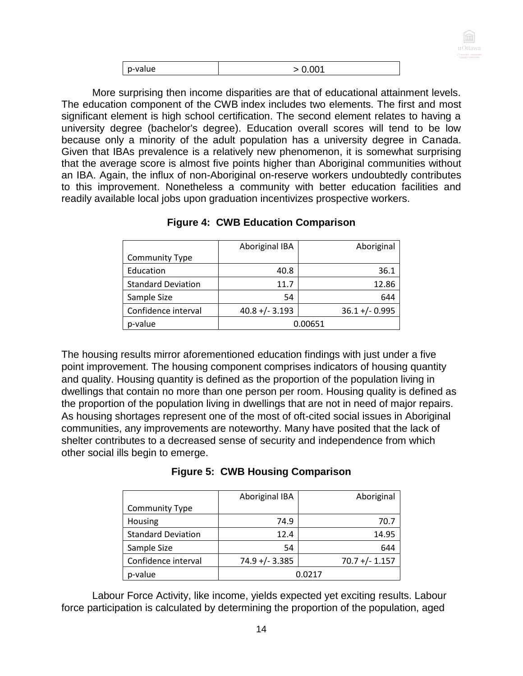

| p-value | ⊿∩ ר |
|---------|------|
|         | ט.י  |

More surprising then income disparities are that of educational attainment levels. The education component of the CWB index includes two elements. The first and most significant element is high school certification. The second element relates to having a university degree (bachelor's degree). Education overall scores will tend to be low because only a minority of the adult population has a university degree in Canada. Given that IBAs prevalence is a relatively new phenomenon, it is somewhat surprising that the average score is almost five points higher than Aboriginal communities without an IBA. Again, the influx of non-Aboriginal on-reserve workers undoubtedly contributes to this improvement. Nonetheless a community with better education facilities and readily available local jobs upon graduation incentivizes prospective workers.

|                           | Aboriginal IBA    | Aboriginal        |
|---------------------------|-------------------|-------------------|
| <b>Community Type</b>     |                   |                   |
| Education                 | 40.8              | 36.1              |
| <b>Standard Deviation</b> | 11.7              | 12.86             |
| Sample Size               | 54                | 644               |
| Confidence interval       | $40.8 + (-3.193)$ | $36.1 + (-0.995)$ |
| p-value                   |                   | 0.00651           |

# **Figure 4: CWB Education Comparison**

The housing results mirror aforementioned education findings with just under a five point improvement. The housing component comprises indicators of housing quantity and quality. Housing quantity is defined as the proportion of the population living in dwellings that contain no more than one person per room. Housing quality is defined as the proportion of the population living in dwellings that are not in need of major repairs. As housing shortages represent one of the most of oft-cited social issues in Aboriginal communities, any improvements are noteworthy. Many have posited that the lack of shelter contributes to a decreased sense of security and independence from which other social ills begin to emerge.

|                           | Aboriginal IBA    | Aboriginal        |
|---------------------------|-------------------|-------------------|
| <b>Community Type</b>     |                   |                   |
| Housing                   | 74.9              | 70.7              |
| <b>Standard Deviation</b> | 12.4              | 14.95             |
| Sample Size               | 54                | 644               |
| Confidence interval       | $74.9 + (-3.385)$ | $70.7 + (-1.157)$ |
| p-value                   |                   | በ በ217            |

# **Figure 5: CWB Housing Comparison**

Labour Force Activity, like income, yields expected yet exciting results. Labour force participation is calculated by determining the proportion of the population, aged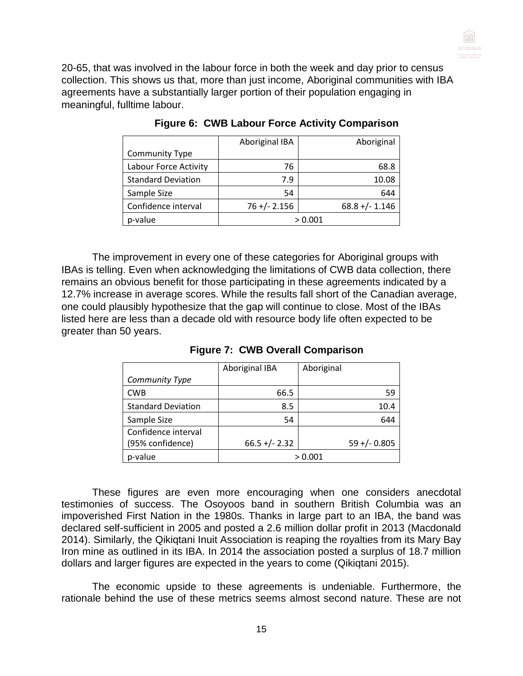

20-65, that was involved in the labour force in both the week and day prior to census collection. This shows us that, more than just income, Aboriginal communities with IBA agreements have a substantially larger portion of their population engaging in meaningful, fulltime labour.

|                           | Aboriginal IBA  | Aboriginal       |
|---------------------------|-----------------|------------------|
| <b>Community Type</b>     |                 |                  |
| Labour Force Activity     | 76              | 68.8             |
| <b>Standard Deviation</b> | 7.9             | 10.08            |
| Sample Size               | 54              | 644              |
| Confidence interval       | $76 + (-2.156)$ | $68.8 +/- 1.146$ |
| p-value                   |                 | > 0.001          |

**Figure 6: CWB Labour Force Activity Comparison**

The improvement in every one of these categories for Aboriginal groups with IBAs is telling. Even when acknowledging the limitations of CWB data collection, there remains an obvious benefit for those participating in these agreements indicated by a 12.7% increase in average scores. While the results fall short of the Canadian average, one could plausibly hypothesize that the gap will continue to close. Most of the IBAs listed here are less than a decade old with resource body life often expected to be greater than 50 years.

|                           | Aboriginal IBA  | Aboriginal      |
|---------------------------|-----------------|-----------------|
| Community Type            |                 |                 |
| <b>CWB</b>                | 66.5            | 59              |
| <b>Standard Deviation</b> | 8.5             | 10.4            |
| Sample Size               | 54              | 644             |
| Confidence interval       |                 |                 |
| (95% confidence)          | $66.5 +/- 2.32$ | $59 + (-0.805)$ |
| p-value                   |                 | > 0.001         |

**Figure 7: CWB Overall Comparison**

These figures are even more encouraging when one considers anecdotal testimonies of success. The Osoyoos band in southern British Columbia was an impoverished First Nation in the 1980s. Thanks in large part to an IBA, the band was declared self-sufficient in 2005 and posted a 2.6 million dollar profit in 2013 (Macdonald 2014). Similarly, the Qikiqtani Inuit Association is reaping the royalties from its Mary Bay Iron mine as outlined in its IBA. In 2014 the association posted a surplus of 18.7 million dollars and larger figures are expected in the years to come (Qikiqtani 2015).

The economic upside to these agreements is undeniable. Furthermore, the rationale behind the use of these metrics seems almost second nature. These are not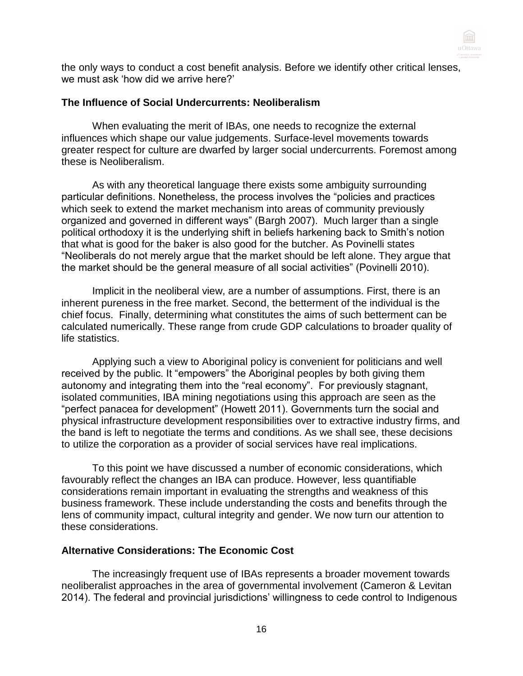

the only ways to conduct a cost benefit analysis. Before we identify other critical lenses, we must ask 'how did we arrive here?'

#### **The Influence of Social Undercurrents: Neoliberalism**

When evaluating the merit of IBAs, one needs to recognize the external influences which shape our value judgements. Surface-level movements towards greater respect for culture are dwarfed by larger social undercurrents. Foremost among these is Neoliberalism.

As with any theoretical language there exists some ambiguity surrounding particular definitions. Nonetheless, the process involves the "policies and practices which seek to extend the market mechanism into areas of community previously organized and governed in different ways" (Bargh 2007). Much larger than a single political orthodoxy it is the underlying shift in beliefs harkening back to Smith's notion that what is good for the baker is also good for the butcher. As Povinelli states "Neoliberals do not merely argue that the market should be left alone. They argue that the market should be the general measure of all social activities" (Povinelli 2010).

Implicit in the neoliberal view, are a number of assumptions. First, there is an inherent pureness in the free market. Second, the betterment of the individual is the chief focus. Finally, determining what constitutes the aims of such betterment can be calculated numerically. These range from crude GDP calculations to broader quality of life statistics.

Applying such a view to Aboriginal policy is convenient for politicians and well received by the public. It "empowers" the Aboriginal peoples by both giving them autonomy and integrating them into the "real economy". For previously stagnant, isolated communities, IBA mining negotiations using this approach are seen as the "perfect panacea for development" (Howett 2011). Governments turn the social and physical infrastructure development responsibilities over to extractive industry firms, and the band is left to negotiate the terms and conditions. As we shall see, these decisions to utilize the corporation as a provider of social services have real implications.

To this point we have discussed a number of economic considerations, which favourably reflect the changes an IBA can produce. However, less quantifiable considerations remain important in evaluating the strengths and weakness of this business framework. These include understanding the costs and benefits through the lens of community impact, cultural integrity and gender. We now turn our attention to these considerations.

#### **Alternative Considerations: The Economic Cost**

The increasingly frequent use of IBAs represents a broader movement towards neoliberalist approaches in the area of governmental involvement (Cameron & Levitan 2014). The federal and provincial jurisdictions' willingness to cede control to Indigenous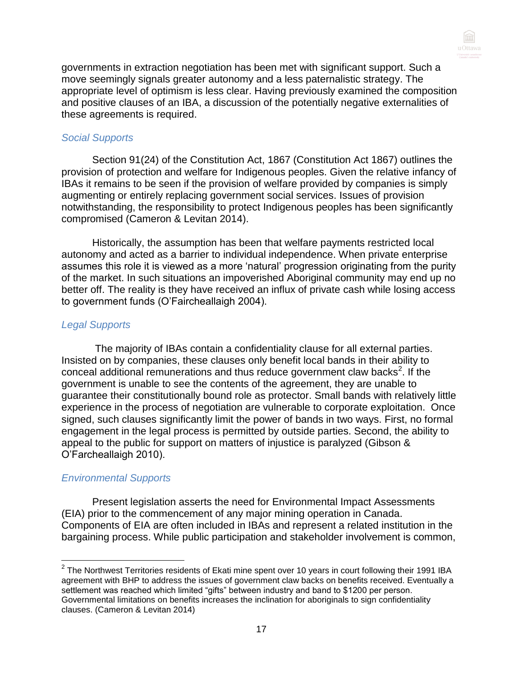

governments in extraction negotiation has been met with significant support. Such a move seemingly signals greater autonomy and a less paternalistic strategy. The appropriate level of optimism is less clear. Having previously examined the composition and positive clauses of an IBA, a discussion of the potentially negative externalities of these agreements is required.

#### *Social Supports*

Section 91(24) of the Constitution Act, 1867 (Constitution Act 1867) outlines the provision of protection and welfare for Indigenous peoples. Given the relative infancy of IBAs it remains to be seen if the provision of welfare provided by companies is simply augmenting or entirely replacing government social services. Issues of provision notwithstanding, the responsibility to protect Indigenous peoples has been significantly compromised (Cameron & Levitan 2014).

Historically, the assumption has been that welfare payments restricted local autonomy and acted as a barrier to individual independence. When private enterprise assumes this role it is viewed as a more 'natural' progression originating from the purity of the market. In such situations an impoverished Aboriginal community may end up no better off. The reality is they have received an influx of private cash while losing access to government funds (O'Faircheallaigh 2004).

#### *Legal Supports*

The majority of IBAs contain a confidentiality clause for all external parties. Insisted on by companies, these clauses only benefit local bands in their ability to conceal additional remunerations and thus reduce government claw backs<sup>2</sup>. If the government is unable to see the contents of the agreement, they are unable to guarantee their constitutionally bound role as protector. Small bands with relatively little experience in the process of negotiation are vulnerable to corporate exploitation. Once signed, such clauses significantly limit the power of bands in two ways. First, no formal engagement in the legal process is permitted by outside parties. Second, the ability to appeal to the public for support on matters of injustice is paralyzed (Gibson & O'Farcheallaigh 2010).

# *Environmental Supports*

Present legislation asserts the need for Environmental Impact Assessments (EIA) prior to the commencement of any major mining operation in Canada. Components of EIA are often included in IBAs and represent a related institution in the bargaining process. While public participation and stakeholder involvement is common,

 $^{2}$  The Northwest Territories residents of Ekati mine spent over 10 years in court following their 1991 IBA agreement with BHP to address the issues of government claw backs on benefits received. Eventually a settlement was reached which limited "gifts" between industry and band to \$1200 per person. Governmental limitations on benefits increases the inclination for aboriginals to sign confidentiality clauses. (Cameron & Levitan 2014)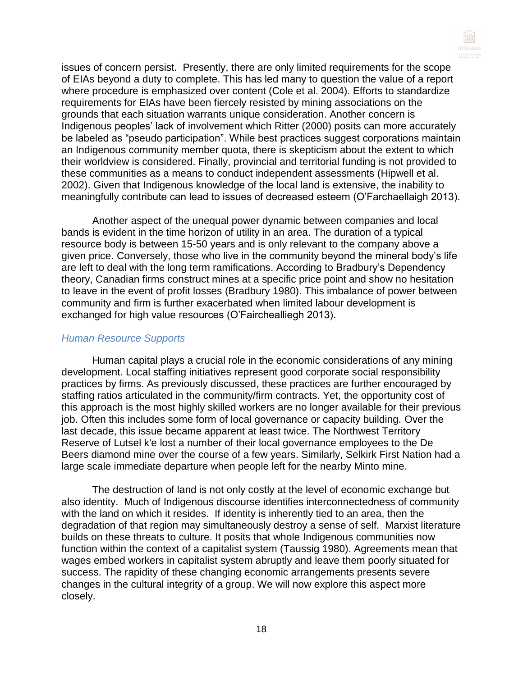

issues of concern persist. Presently, there are only limited requirements for the scope of EIAs beyond a duty to complete. This has led many to question the value of a report where procedure is emphasized over content (Cole et al. 2004). Efforts to standardize requirements for EIAs have been fiercely resisted by mining associations on the grounds that each situation warrants unique consideration. Another concern is Indigenous peoples' lack of involvement which Ritter (2000) posits can more accurately be labeled as "pseudo participation". While best practices suggest corporations maintain an Indigenous community member quota, there is skepticism about the extent to which their worldview is considered. Finally, provincial and territorial funding is not provided to these communities as a means to conduct independent assessments (Hipwell et al. 2002). Given that Indigenous knowledge of the local land is extensive, the inability to meaningfully contribute can lead to issues of decreased esteem (O'Farchaellaigh 2013).

Another aspect of the unequal power dynamic between companies and local bands is evident in the time horizon of utility in an area. The duration of a typical resource body is between 15-50 years and is only relevant to the company above a given price. Conversely, those who live in the community beyond the mineral body's life are left to deal with the long term ramifications. According to Bradbury's Dependency theory, Canadian firms construct mines at a specific price point and show no hesitation to leave in the event of profit losses (Bradbury 1980). This imbalance of power between community and firm is further exacerbated when limited labour development is exchanged for high value resources (O'Fairchealliegh 2013).

#### *Human Resource Supports*

Human capital plays a crucial role in the economic considerations of any mining development. Local staffing initiatives represent good corporate social responsibility practices by firms. As previously discussed, these practices are further encouraged by staffing ratios articulated in the community/firm contracts. Yet, the opportunity cost of this approach is the most highly skilled workers are no longer available for their previous job. Often this includes some form of local governance or capacity building. Over the last decade, this issue became apparent at least twice. The Northwest Territory Reserve of Lutsel k'e lost a number of their local governance employees to the De Beers diamond mine over the course of a few years. Similarly, Selkirk First Nation had a large scale immediate departure when people left for the nearby Minto mine.

The destruction of land is not only costly at the level of economic exchange but also identity. Much of Indigenous discourse identifies interconnectedness of community with the land on which it resides. If identity is inherently tied to an area, then the degradation of that region may simultaneously destroy a sense of self. Marxist literature builds on these threats to culture. It posits that whole Indigenous communities now function within the context of a capitalist system (Taussig 1980). Agreements mean that wages embed workers in capitalist system abruptly and leave them poorly situated for success. The rapidity of these changing economic arrangements presents severe changes in the cultural integrity of a group. We will now explore this aspect more closely.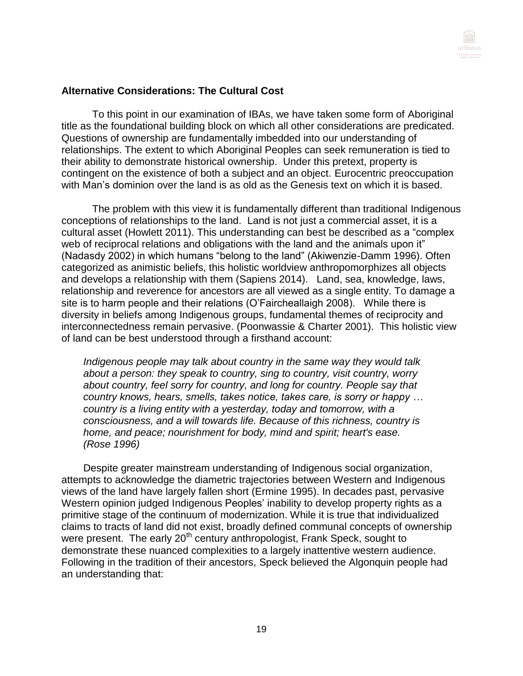

# **Alternative Considerations: The Cultural Cost**

To this point in our examination of IBAs, we have taken some form of Aboriginal title as the foundational building block on which all other considerations are predicated. Questions of ownership are fundamentally imbedded into our understanding of relationships. The extent to which Aboriginal Peoples can seek remuneration is tied to their ability to demonstrate historical ownership. Under this pretext, property is contingent on the existence of both a subject and an object. Eurocentric preoccupation with Man's dominion over the land is as old as the Genesis text on which it is based.

The problem with this view it is fundamentally different than traditional Indigenous conceptions of relationships to the land. Land is not just a commercial asset, it is a cultural asset (Howlett 2011). This understanding can best be described as a "complex web of reciprocal relations and obligations with the land and the animals upon it" (Nadasdy 2002) in which humans "belong to the land" (Akiwenzie-Damm 1996). Often categorized as animistic beliefs, this holistic worldview anthropomorphizes all objects and develops a relationship with them (Sapiens 2014). Land, sea, knowledge, laws, relationship and reverence for ancestors are all viewed as a single entity. To damage a site is to harm people and their relations (O'Faircheallaigh 2008). While there is diversity in beliefs among Indigenous groups, fundamental themes of reciprocity and interconnectedness remain pervasive. (Poonwassie & Charter 2001). This holistic view of land can be best understood through a firsthand account:

*Indigenous people may talk about country in the same way they would talk about a person: they speak to country, sing to country, visit country, worry about country, feel sorry for country, and long for country. People say that country knows, hears, smells, takes notice, takes care, is sorry or happy … country is a living entity with a yesterday, today and tomorrow, with a consciousness, and a will towards life. Because of this richness, country is home, and peace; nourishment for body, mind and spirit; heart's ease. (Rose 1996)*

Despite greater mainstream understanding of Indigenous social organization, attempts to acknowledge the diametric trajectories between Western and Indigenous views of the land have largely fallen short (Ermine 1995). In decades past, pervasive Western opinion judged Indigenous Peoples' inability to develop property rights as a primitive stage of the continuum of modernization. While it is true that individualized claims to tracts of land did not exist, broadly defined communal concepts of ownership were present. The early  $20<sup>th</sup>$  century anthropologist, Frank Speck, sought to demonstrate these nuanced complexities to a largely inattentive western audience. Following in the tradition of their ancestors, Speck believed the Algonquin people had an understanding that: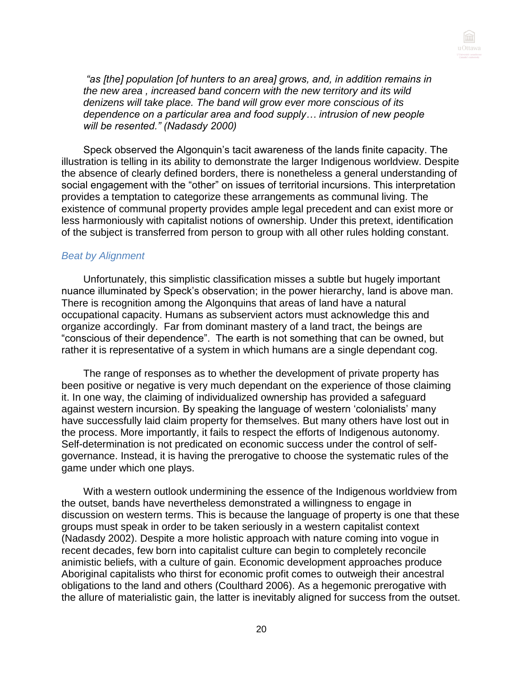

*"as [the] population [of hunters to an area] grows, and, in addition remains in the new area , increased band concern with the new territory and its wild denizens will take place. The band will grow ever more conscious of its dependence on a particular area and food supply… intrusion of new people will be resented." (Nadasdy 2000)*

Speck observed the Algonquin's tacit awareness of the lands finite capacity. The illustration is telling in its ability to demonstrate the larger Indigenous worldview. Despite the absence of clearly defined borders, there is nonetheless a general understanding of social engagement with the "other" on issues of territorial incursions. This interpretation provides a temptation to categorize these arrangements as communal living. The existence of communal property provides ample legal precedent and can exist more or less harmoniously with capitalist notions of ownership. Under this pretext, identification of the subject is transferred from person to group with all other rules holding constant.

#### *Beat by Alignment*

Unfortunately, this simplistic classification misses a subtle but hugely important nuance illuminated by Speck's observation; in the power hierarchy, land is above man. There is recognition among the Algonquins that areas of land have a natural occupational capacity. Humans as subservient actors must acknowledge this and organize accordingly. Far from dominant mastery of a land tract, the beings are "conscious of their dependence". The earth is not something that can be owned, but rather it is representative of a system in which humans are a single dependant cog.

The range of responses as to whether the development of private property has been positive or negative is very much dependant on the experience of those claiming it. In one way, the claiming of individualized ownership has provided a safeguard against western incursion. By speaking the language of western 'colonialists' many have successfully laid claim property for themselves. But many others have lost out in the process. More importantly, it fails to respect the efforts of Indigenous autonomy. Self-determination is not predicated on economic success under the control of selfgovernance. Instead, it is having the prerogative to choose the systematic rules of the game under which one plays.

With a western outlook undermining the essence of the Indigenous worldview from the outset, bands have nevertheless demonstrated a willingness to engage in discussion on western terms. This is because the language of property is one that these groups must speak in order to be taken seriously in a western capitalist context (Nadasdy 2002). Despite a more holistic approach with nature coming into vogue in recent decades, few born into capitalist culture can begin to completely reconcile animistic beliefs, with a culture of gain. Economic development approaches produce Aboriginal capitalists who thirst for economic profit comes to outweigh their ancestral obligations to the land and others (Coulthard 2006). As a hegemonic prerogative with the allure of materialistic gain, the latter is inevitably aligned for success from the outset.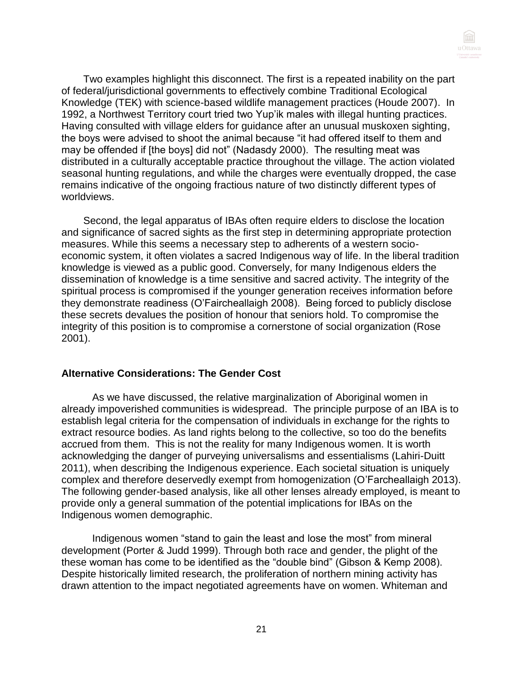

Two examples highlight this disconnect. The first is a repeated inability on the part of federal/jurisdictional governments to effectively combine Traditional Ecological Knowledge (TEK) with science-based wildlife management practices (Houde 2007). In 1992, a Northwest Territory court tried two Yup'ik males with illegal hunting practices. Having consulted with village elders for guidance after an unusual muskoxen sighting, the boys were advised to shoot the animal because "it had offered itself to them and may be offended if [the boys] did not" (Nadasdy 2000). The resulting meat was distributed in a culturally acceptable practice throughout the village. The action violated seasonal hunting regulations, and while the charges were eventually dropped, the case remains indicative of the ongoing fractious nature of two distinctly different types of worldviews.

Second, the legal apparatus of IBAs often require elders to disclose the location and significance of sacred sights as the first step in determining appropriate protection measures. While this seems a necessary step to adherents of a western socioeconomic system, it often violates a sacred Indigenous way of life. In the liberal tradition knowledge is viewed as a public good. Conversely, for many Indigenous elders the dissemination of knowledge is a time sensitive and sacred activity. The integrity of the spiritual process is compromised if the younger generation receives information before they demonstrate readiness (O'Faircheallaigh 2008). Being forced to publicly disclose these secrets devalues the position of honour that seniors hold. To compromise the integrity of this position is to compromise a cornerstone of social organization (Rose 2001).

#### **Alternative Considerations: The Gender Cost**

As we have discussed, the relative marginalization of Aboriginal women in already impoverished communities is widespread. The principle purpose of an IBA is to establish legal criteria for the compensation of individuals in exchange for the rights to extract resource bodies. As land rights belong to the collective, so too do the benefits accrued from them. This is not the reality for many Indigenous women. It is worth acknowledging the danger of purveying universalisms and essentialisms (Lahiri-Duitt 2011), when describing the Indigenous experience. Each societal situation is uniquely complex and therefore deservedly exempt from homogenization (O'Farcheallaigh 2013). The following gender-based analysis, like all other lenses already employed, is meant to provide only a general summation of the potential implications for IBAs on the Indigenous women demographic.

Indigenous women "stand to gain the least and lose the most" from mineral development (Porter & Judd 1999). Through both race and gender, the plight of the these woman has come to be identified as the "double bind" (Gibson & Kemp 2008). Despite historically limited research, the proliferation of northern mining activity has drawn attention to the impact negotiated agreements have on women. Whiteman and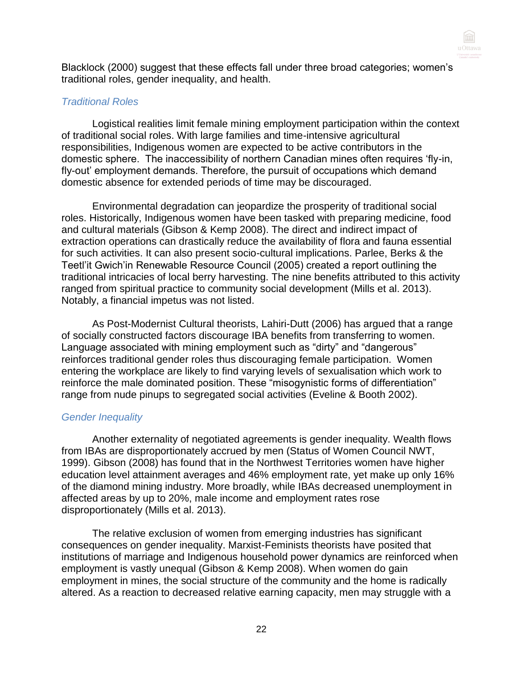

Blacklock (2000) suggest that these effects fall under three broad categories; women's traditional roles, gender inequality, and health.

#### *Traditional Roles*

Logistical realities limit female mining employment participation within the context of traditional social roles. With large families and time-intensive agricultural responsibilities, Indigenous women are expected to be active contributors in the domestic sphere. The inaccessibility of northern Canadian mines often requires 'fly-in, fly-out' employment demands. Therefore, the pursuit of occupations which demand domestic absence for extended periods of time may be discouraged.

Environmental degradation can jeopardize the prosperity of traditional social roles. Historically, Indigenous women have been tasked with preparing medicine, food and cultural materials (Gibson & Kemp 2008). The direct and indirect impact of extraction operations can drastically reduce the availability of flora and fauna essential for such activities. It can also present socio-cultural implications. Parlee, Berks & the Teetl'it Gwich'in Renewable Resource Council (2005) created a report outlining the traditional intricacies of local berry harvesting. The nine benefits attributed to this activity ranged from spiritual practice to community social development (Mills et al. 2013). Notably, a financial impetus was not listed.

As Post-Modernist Cultural theorists, Lahiri-Dutt (2006) has argued that a range of socially constructed factors discourage IBA benefits from transferring to women. Language associated with mining employment such as "dirty" and "dangerous" reinforces traditional gender roles thus discouraging female participation. Women entering the workplace are likely to find varying levels of sexualisation which work to reinforce the male dominated position. These "misogynistic forms of differentiation" range from nude pinups to segregated social activities (Eveline & Booth 2002).

# *Gender Inequality*

Another externality of negotiated agreements is gender inequality. Wealth flows from IBAs are disproportionately accrued by men (Status of Women Council NWT, 1999). Gibson (2008) has found that in the Northwest Territories women have higher education level attainment averages and 46% employment rate, yet make up only 16% of the diamond mining industry. More broadly, while IBAs decreased unemployment in affected areas by up to 20%, male income and employment rates rose disproportionately (Mills et al. 2013).

The relative exclusion of women from emerging industries has significant consequences on gender inequality. Marxist-Feminists theorists have posited that institutions of marriage and Indigenous household power dynamics are reinforced when employment is vastly unequal (Gibson & Kemp 2008). When women do gain employment in mines, the social structure of the community and the home is radically altered. As a reaction to decreased relative earning capacity, men may struggle with a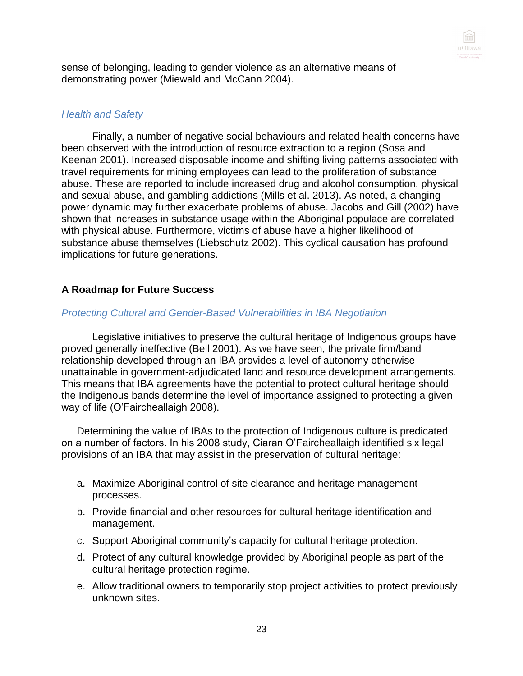

sense of belonging, leading to gender violence as an alternative means of demonstrating power (Miewald and McCann 2004).

# *Health and Safety*

Finally, a number of negative social behaviours and related health concerns have been observed with the introduction of resource extraction to a region (Sosa and Keenan 2001). Increased disposable income and shifting living patterns associated with travel requirements for mining employees can lead to the proliferation of substance abuse. These are reported to include increased drug and alcohol consumption, physical and sexual abuse, and gambling addictions (Mills et al. 2013). As noted, a changing power dynamic may further exacerbate problems of abuse. Jacobs and Gill (2002) have shown that increases in substance usage within the Aboriginal populace are correlated with physical abuse. Furthermore, victims of abuse have a higher likelihood of substance abuse themselves (Liebschutz 2002). This cyclical causation has profound implications for future generations.

# **A Roadmap for Future Success**

# *Protecting Cultural and Gender-Based Vulnerabilities in IBA Negotiation*

Legislative initiatives to preserve the cultural heritage of Indigenous groups have proved generally ineffective (Bell 2001). As we have seen, the private firm/band relationship developed through an IBA provides a level of autonomy otherwise unattainable in government-adjudicated land and resource development arrangements. This means that IBA agreements have the potential to protect cultural heritage should the Indigenous bands determine the level of importance assigned to protecting a given way of life (O'Faircheallaigh 2008).

Determining the value of IBAs to the protection of Indigenous culture is predicated on a number of factors. In his 2008 study, Ciaran O'Faircheallaigh identified six legal provisions of an IBA that may assist in the preservation of cultural heritage:

- a. Maximize Aboriginal control of site clearance and heritage management processes.
- b. Provide financial and other resources for cultural heritage identification and management.
- c. Support Aboriginal community's capacity for cultural heritage protection.
- d. Protect of any cultural knowledge provided by Aboriginal people as part of the cultural heritage protection regime.
- e. Allow traditional owners to temporarily stop project activities to protect previously unknown sites.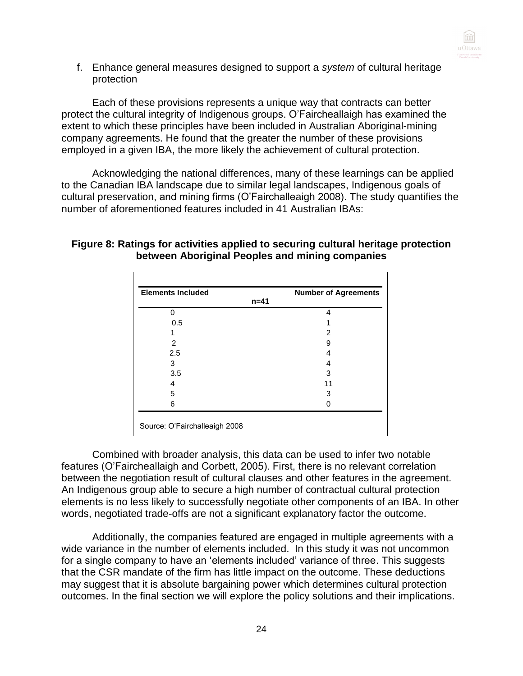

f. Enhance general measures designed to support a *system* of cultural heritage protection

Each of these provisions represents a unique way that contracts can better protect the cultural integrity of Indigenous groups. O'Faircheallaigh has examined the extent to which these principles have been included in Australian Aboriginal-mining company agreements. He found that the greater the number of these provisions employed in a given IBA, the more likely the achievement of cultural protection.

Acknowledging the national differences, many of these learnings can be applied to the Canadian IBA landscape due to similar legal landscapes, Indigenous goals of cultural preservation, and mining firms (O'Fairchalleaigh 2008). The study quantifies the number of aforementioned features included in 41 Australian IBAs:

#### **Figure 8: Ratings for activities applied to securing cultural heritage protection between Aboriginal Peoples and mining companies**

| <b>Elements Included</b> | <b>Number of Agreements</b> |
|--------------------------|-----------------------------|
|                          | $n = 41$                    |
| U                        | 4                           |
| 0.5                      |                             |
|                          | 2                           |
| 2                        | 9                           |
| 2.5                      |                             |
| 3                        |                             |
| 3.5                      | 3                           |
| 4                        | 11                          |
| 5                        | 3                           |
| 6                        |                             |

Combined with broader analysis, this data can be used to infer two notable features (O'Faircheallaigh and Corbett, 2005). First, there is no relevant correlation between the negotiation result of cultural clauses and other features in the agreement. An Indigenous group able to secure a high number of contractual cultural protection elements is no less likely to successfully negotiate other components of an IBA. In other words, negotiated trade-offs are not a significant explanatory factor the outcome.

Additionally, the companies featured are engaged in multiple agreements with a wide variance in the number of elements included. In this study it was not uncommon for a single company to have an 'elements included' variance of three. This suggests that the CSR mandate of the firm has little impact on the outcome. These deductions may suggest that it is absolute bargaining power which determines cultural protection outcomes. In the final section we will explore the policy solutions and their implications.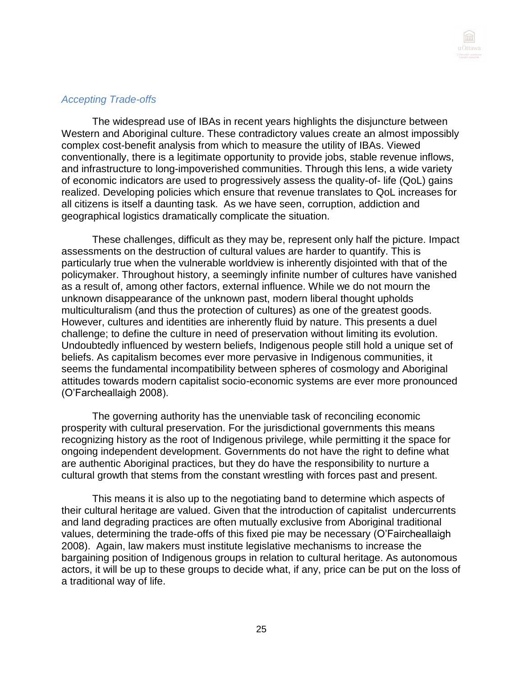

#### *Accepting Trade-offs*

The widespread use of IBAs in recent years highlights the disjuncture between Western and Aboriginal culture. These contradictory values create an almost impossibly complex cost-benefit analysis from which to measure the utility of IBAs. Viewed conventionally, there is a legitimate opportunity to provide jobs, stable revenue inflows, and infrastructure to long-impoverished communities. Through this lens, a wide variety of economic indicators are used to progressively assess the quality-of- life (QoL) gains realized. Developing policies which ensure that revenue translates to QoL increases for all citizens is itself a daunting task. As we have seen, corruption, addiction and geographical logistics dramatically complicate the situation.

These challenges, difficult as they may be, represent only half the picture. Impact assessments on the destruction of cultural values are harder to quantify. This is particularly true when the vulnerable worldview is inherently disjointed with that of the policymaker. Throughout history, a seemingly infinite number of cultures have vanished as a result of, among other factors, external influence. While we do not mourn the unknown disappearance of the unknown past, modern liberal thought upholds multiculturalism (and thus the protection of cultures) as one of the greatest goods. However, cultures and identities are inherently fluid by nature. This presents a duel challenge; to define the culture in need of preservation without limiting its evolution. Undoubtedly influenced by western beliefs, Indigenous people still hold a unique set of beliefs. As capitalism becomes ever more pervasive in Indigenous communities, it seems the fundamental incompatibility between spheres of cosmology and Aboriginal attitudes towards modern capitalist socio-economic systems are ever more pronounced (O'Farcheallaigh 2008).

The governing authority has the unenviable task of reconciling economic prosperity with cultural preservation. For the jurisdictional governments this means recognizing history as the root of Indigenous privilege, while permitting it the space for ongoing independent development. Governments do not have the right to define what are authentic Aboriginal practices, but they do have the responsibility to nurture a cultural growth that stems from the constant wrestling with forces past and present.

This means it is also up to the negotiating band to determine which aspects of their cultural heritage are valued. Given that the introduction of capitalist undercurrents and land degrading practices are often mutually exclusive from Aboriginal traditional values, determining the trade-offs of this fixed pie may be necessary (O'Faircheallaigh 2008). Again, law makers must institute legislative mechanisms to increase the bargaining position of Indigenous groups in relation to cultural heritage. As autonomous actors, it will be up to these groups to decide what, if any, price can be put on the loss of a traditional way of life.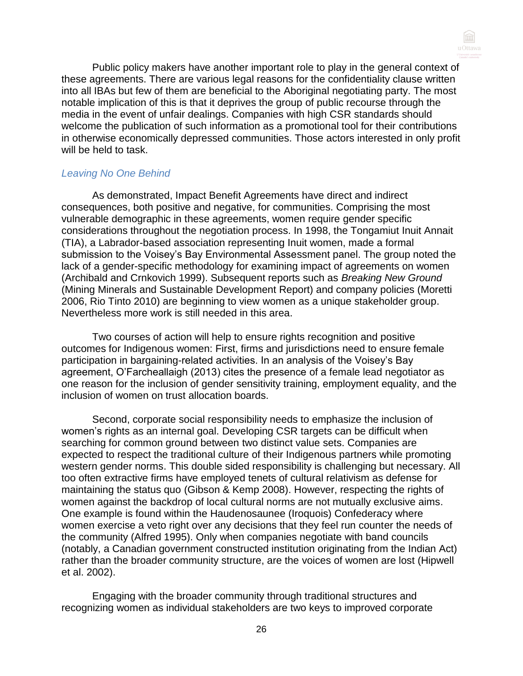

Public policy makers have another important role to play in the general context of these agreements. There are various legal reasons for the confidentiality clause written into all IBAs but few of them are beneficial to the Aboriginal negotiating party. The most notable implication of this is that it deprives the group of public recourse through the media in the event of unfair dealings. Companies with high CSR standards should welcome the publication of such information as a promotional tool for their contributions in otherwise economically depressed communities. Those actors interested in only profit will be held to task.

# *Leaving No One Behind*

As demonstrated, Impact Benefit Agreements have direct and indirect consequences, both positive and negative, for communities. Comprising the most vulnerable demographic in these agreements, women require gender specific considerations throughout the negotiation process. In 1998, the Tongamiut Inuit Annait (TIA), a Labrador-based association representing Inuit women, made a formal submission to the Voisey's Bay Environmental Assessment panel. The group noted the lack of a gender-specific methodology for examining impact of agreements on women (Archibald and Crnkovich 1999). Subsequent reports such as *Breaking New Ground*  (Mining Minerals and Sustainable Development Report) and company policies (Moretti 2006, Rio Tinto 2010) are beginning to view women as a unique stakeholder group. Nevertheless more work is still needed in this area.

Two courses of action will help to ensure rights recognition and positive outcomes for Indigenous women: First, firms and jurisdictions need to ensure female participation in bargaining-related activities. In an analysis of the Voisey's Bay agreement, O'Farcheallaigh (2013) cites the presence of a female lead negotiator as one reason for the inclusion of gender sensitivity training, employment equality, and the inclusion of women on trust allocation boards.

Second, corporate social responsibility needs to emphasize the inclusion of women's rights as an internal goal. Developing CSR targets can be difficult when searching for common ground between two distinct value sets. Companies are expected to respect the traditional culture of their Indigenous partners while promoting western gender norms. This double sided responsibility is challenging but necessary. All too often extractive firms have employed tenets of cultural relativism as defense for maintaining the status quo (Gibson & Kemp 2008). However, respecting the rights of women against the backdrop of local cultural norms are not mutually exclusive aims. One example is found within the Haudenosaunee (Iroquois) Confederacy where women exercise a veto right over any decisions that they feel run counter the needs of the community (Alfred 1995). Only when companies negotiate with band councils (notably, a Canadian government constructed institution originating from the Indian Act) rather than the broader community structure, are the voices of women are lost (Hipwell et al. 2002).

Engaging with the broader community through traditional structures and recognizing women as individual stakeholders are two keys to improved corporate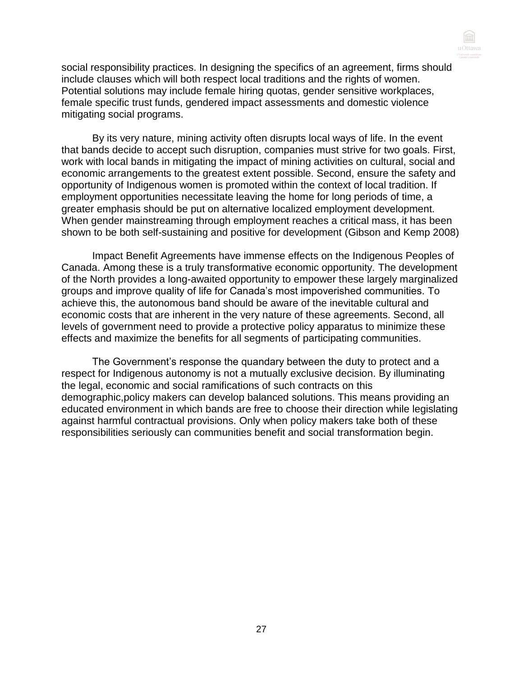

social responsibility practices. In designing the specifics of an agreement, firms should include clauses which will both respect local traditions and the rights of women. Potential solutions may include female hiring quotas, gender sensitive workplaces, female specific trust funds, gendered impact assessments and domestic violence mitigating social programs.

By its very nature, mining activity often disrupts local ways of life. In the event that bands decide to accept such disruption, companies must strive for two goals. First, work with local bands in mitigating the impact of mining activities on cultural, social and economic arrangements to the greatest extent possible. Second, ensure the safety and opportunity of Indigenous women is promoted within the context of local tradition. If employment opportunities necessitate leaving the home for long periods of time, a greater emphasis should be put on alternative localized employment development. When gender mainstreaming through employment reaches a critical mass, it has been shown to be both self-sustaining and positive for development (Gibson and Kemp 2008)

Impact Benefit Agreements have immense effects on the Indigenous Peoples of Canada. Among these is a truly transformative economic opportunity. The development of the North provides a long-awaited opportunity to empower these largely marginalized groups and improve quality of life for Canada's most impoverished communities. To achieve this, the autonomous band should be aware of the inevitable cultural and economic costs that are inherent in the very nature of these agreements. Second, all levels of government need to provide a protective policy apparatus to minimize these effects and maximize the benefits for all segments of participating communities.

The Government's response the quandary between the duty to protect and a respect for Indigenous autonomy is not a mutually exclusive decision. By illuminating the legal, economic and social ramifications of such contracts on this demographic,policy makers can develop balanced solutions. This means providing an educated environment in which bands are free to choose their direction while legislating against harmful contractual provisions. Only when policy makers take both of these responsibilities seriously can communities benefit and social transformation begin.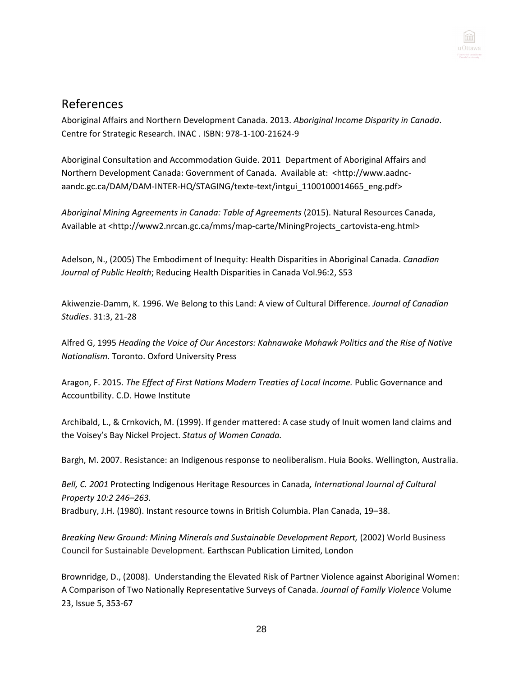

# References

Aboriginal Affairs and Northern Development Canada. 2013. *Aboriginal Income Disparity in Canada*. Centre for Strategic Research. INAC . ISBN: 978-1-100-21624-9

Aboriginal Consultation and Accommodation Guide. 2011 Department of Aboriginal Affairs and Northern Development Canada: Government of Canada. Available at: <http://www.aadncaandc.gc.ca/DAM/DAM-INTER-HQ/STAGING/texte-text/intgui\_1100100014665\_eng.pdf>

*Aboriginal Mining Agreements in Canada: Table of Agreements* (2015). Natural Resources Canada, Available at [<http://www2.nrcan.gc.ca/mms/map-carte/MiningProjects\\_cartovista-eng.html>](http://www2.nrcan.gc.ca/mms/map-carte/MiningProjects_cartovista-eng.html)

Adelson, N., (2005) The Embodiment of Inequity: Health Disparities in Aboriginal Canada. *Canadian Journal of Public Health*; Reducing Health Disparities in Canada Vol.96:2, S53

Akiwenzie-Damm, K. 1996. We Belong to this Land: A view of Cultural Difference*. Journal of Canadian Studies*. 31:3, 21-28

Alfred G, 1995 *Heading the Voice of Our Ancestors: Kahnawake Mohawk Politics and the Rise of Native Nationalism.* Toronto. Oxford University Press

Aragon, F. 2015. *The Effect of First Nations Modern Treaties of Local Income.* Public Governance and Accountbility. C.D. Howe Institute

Archibald, L., & Crnkovich, M. (1999). If gender mattered: A case study of Inuit women land claims and the Voisey's Bay Nickel Project. *Status of Women Canada.*

Bargh, M. 2007. Resistance: an Indigenous response to neoliberalism. Huia Books. Wellington, Australia.

*Bell, C. 2001* Protecting Indigenous Heritage Resources in Canada*, International Journal of Cultural Property 10:2 246–263.*

Bradbury, J.H. (1980). Instant resource towns in British Columbia. Plan Canada, 19–38.

*Breaking New Ground: Mining Minerals and Sustainable Development Report,* (2002) World Business Council for Sustainable Development. Earthscan Publication Limited, London

Brownridge, D., (2008). Understanding the Elevated Risk of Partner Violence against Aboriginal Women: A Comparison of Two Nationally Representative Surveys of Canada. *[Journal of Family Violence](http://link.springer.com/journal/10896)* Volume 23, [Issue 5,](http://link.springer.com/journal/10896/23/5/page/1) 353-67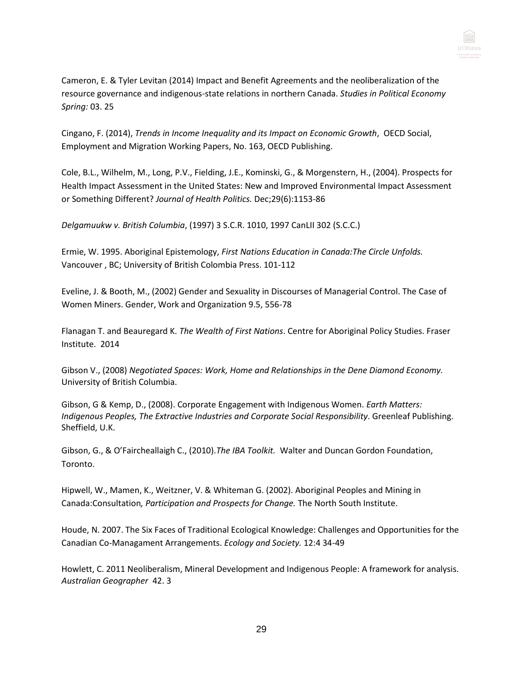

Cameron, E. & Tyler Levitan (2014) Impact and Benefit Agreements and the neoliberalization of the resource governance and indigenous-state relations in northern Canada. *Studies in Political Economy Spring:* 03. 25

Cingano, F. (2014), *Trends in Income Inequality and its Impact on Economic Growth*, OECD Social, Employment and Migration Working Papers, No. 163, OECD Publishing.

Cole, B.L., Wilhelm, M., Long, P.V., Fielding, J.E., Kominski, G., & Morgenstern, H., (2004). Prospects for Health Impact Assessment in the United States: New and Improved Environmental Impact Assessment or Something Different? *Journal of Health Politics.* Dec;29(6):1153-86

*Delgamuukw v. British Columbia*, (1997) 3 S.C.R. 1010, 1997 CanLII 302 (S.C.C.)

Ermie, W. 1995. Aboriginal Epistemology, *First Nations Education in Canada:The Circle Unfolds.*  Vancouver , BC; University of British Colombia Press. 101-112

Eveline, J. & Booth, M., (2002) Gender and Sexuality in Discourses of Managerial Control. The Case of Women Miners. Gender, Work and Organization 9.5, 556-78

Flanagan T. and Beauregard K. *The Wealth of First Nations*. Centre for Aboriginal Policy Studies. Fraser Institute. 2014

Gibson V., (2008) *Negotiated Spaces: Work, Home and Relationships in the Dene Diamond Economy.* University of British Columbia.

Gibson, G & Kemp, D., (2008). Corporate Engagement with Indigenous Women. *Earth Matters: Indigenous Peoples, The Extractive Industries and Corporate Social Responsibility*. Greenleaf Publishing. Sheffield, U.K.

Gibson, G., & O'Faircheallaigh C., (2010).*The IBA Toolkit.* Walter and Duncan Gordon Foundation, Toronto.

Hipwell, W., Mamen, K., Weitzner, V. & Whiteman G. (2002). Aboriginal Peoples and Mining in Canada:Consultation*, Participation and Prospects for Change.* The North South Institute.

Houde, N. 2007. The Six Faces of Traditional Ecological Knowledge: Challenges and Opportunities for the Canadian Co-Managament Arrangements. *Ecology and Society.* 12:4 34-49

Howlett, C. 2011 Neoliberalism, Mineral Development and Indigenous People: A framework for analysis. *Australian Geographer* 42. 3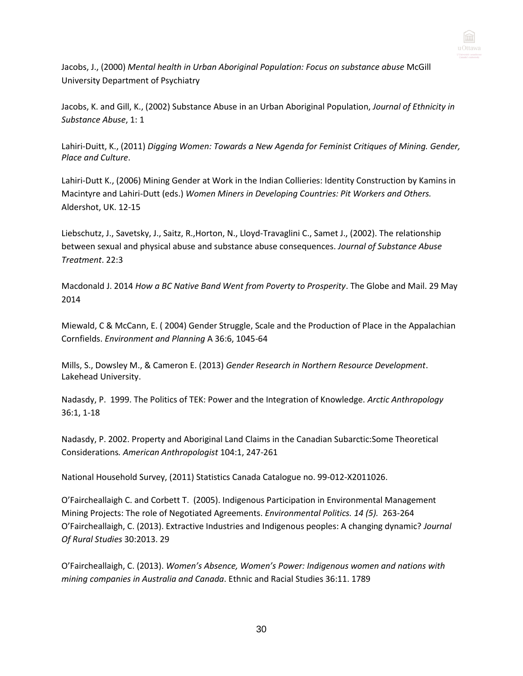

Jacobs, J., (2000) *Mental health in Urban Aboriginal Population: Focus on substance abuse* McGill University Department of Psychiatry

Jacobs, K. and Gill, K., (2002) Substance Abuse in an Urban Aboriginal Population, *Journal of Ethnicity in Substance Abuse*, 1: 1

Lahiri-Duitt, K., (2011) *Digging Women: Towards a New Agenda for Feminist Critiques of Mining. Gender, Place and Culture*.

Lahiri-Dutt K., (2006) Mining Gender at Work in the Indian Collieries: Identity Construction by Kamins in Macintyre and Lahiri-Dutt (eds.) *Women Miners in Developing Countries: Pit Workers and Others.* Aldershot, UK. 12-15

Liebschutz, J., Savetsky, J., Saitz, R.,Horton, N., Lloyd-Travaglini C., Samet J., (2002). The relationship between sexual and physical abuse and substance abuse consequences. *Journal of Substance Abuse Treatment*. 22:3

Macdonald J. 2014 *How a BC Native Band Went from Poverty to Prosperity*. The Globe and Mail. 29 May 2014

Miewald, C & McCann, E. ( 2004) Gender Struggle, Scale and the Production of Place in the Appalachian Cornfields. *Environment and Planning* A 36:6, 1045-64

Mills, S., Dowsley M., & Cameron E. (2013) *Gender Research in Northern Resource Development*. Lakehead University.

Nadasdy, P. 1999. The Politics of TEK: Power and the Integration of Knowledge. *Arctic Anthropology*  36:1, 1-18

Nadasdy, P. 2002. Property and Aboriginal Land Claims in the Canadian Subarctic:Some Theoretical Considerations*. American Anthropologist* 104:1, 247-261

National Household Survey, (2011) Statistics Canada Catalogue no. 99-012-X2011026.

O'Faircheallaigh C. and Corbett T. (2005). Indigenous Participation in Environmental Management Mining Projects: The role of Negotiated Agreements. *Environmental Politics. 14 (5).* 263-264 O'Faircheallaigh, C. (2013). Extractive Industries and Indigenous peoples: A changing dynamic? *Journal Of Rural Studies* 30:2013. 29

O'Faircheallaigh, C. (2013). *Women's Absence, Women's Power: Indigenous women and nations with mining companies in Australia and Canada*. Ethnic and Racial Studies 36:11. 1789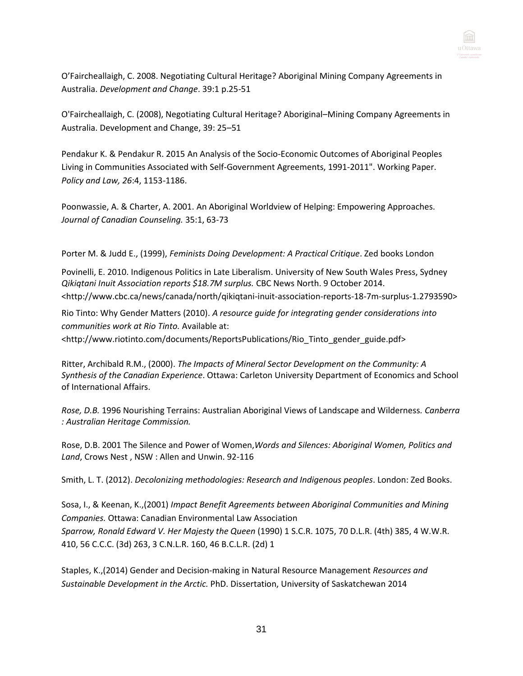

O'Faircheallaigh, C. 2008. Negotiating Cultural Heritage? Aboriginal Mining Company Agreements in Australia. *Development and Change*. 39:1 p.25-51

O'Faircheallaigh, C. (2008), Negotiating Cultural Heritage? Aboriginal–Mining Company Agreements in Australia. Development and Change, 39: 25–51

Pendakur K. & Pendakur R. 2015 [An Analysis of the Socio-Economic Outcomes of Aboriginal Peoples](http://www.sfu.ca/~pendakur/Abor_paper.pdf)  [Living in Communities Associated with Self-Government Agreements, 1991-2011".](http://www.sfu.ca/~pendakur/Abor_paper.pdf) Working Paper. *Policy and Law, 26*:4, 1153-1186.

Poonwassie, A. & Charter, A. 2001. An Aboriginal Worldview of Helping: Empowering Approaches. *Journal of Canadian Counseling.* 35:1, 63-73

Porter M. & Judd E., (1999), *Feminists Doing Development: A Practical Critique*. Zed books London

Povinelli, E. 2010. Indigenous Politics in Late Liberalism. University of New South Wales Press, Sydney *Qikiqtani Inuit Association reports \$18.7M surplus.* CBC News North. 9 October 2014. <http://www.cbc.ca/news/canada/north/qikiqtani-inuit-association-reports-18-7m-surplus-1.2793590>

Rio Tinto: Why Gender Matters (2010). *A resource guide for integrating gender considerations into communities work at Rio Tinto.* Available at:

[<http://www.riotinto.com/documents/ReportsPublications/Rio\\_Tinto\\_gender\\_guide.pdf>](http://www.riotinto.com/documents/ReportsPublications/Rio_Tinto_gender_guide.pdf)

Ritter, Archibald R.M., (2000). *The Impacts of Mineral Sector Development on the Community: A Synthesis of the Canadian Experience*. Ottawa: Carleton University Department of Economics and School of International Affairs.

*Rose, D.B.* 1996 Nourishing Terrains: Australian Aboriginal Views of Landscape and Wilderness*. Canberra : Australian Heritage Commission.*

Rose, D.B. 2001 The Silence and Power of Women,*[Words and Silences: Aboriginal Women, Politics and](http://onlinelibrary.wiley.com/doi/10.1111/j.1467-7660.2008.00467.x/full#b54)  Land*[, Crows Nest , NSW : Allen and Unwin. 9](http://onlinelibrary.wiley.com/doi/10.1111/j.1467-7660.2008.00467.x/full#b54)2-116

Smith, L. T. (2012). *Decolonizing methodologies: Research and Indigenous peoples*. London: Zed Books.

Sosa, I., & Keenan, K.,(2001) *Impact Benefit Agreements between Aboriginal Communities and Mining Companies.* Ottawa: Canadian Environmental Law Association *Sparrow, Ronald Edward V. Her Majesty the Queen* (1990) 1 S.C.R. 1075, 70 D.L.R. (4th) 385, 4 W.W.R. 410, 56 C.C.C. (3d) 263, 3 C.N.L.R. 160, 46 B.C.L.R. (2d) 1

Staples, K.,(2014) Gender and Decision-making in Natural Resource Management *[Resources and](http://yukonresearch.yukoncollege.yk.ca/resda/)  [Sustainable Development in the Arctic.](http://yukonresearch.yukoncollege.yk.ca/resda/)* [PhD. Dissertation, University of Saskatchewan](http://yukonresearch.yukoncollege.yk.ca/resda/) [2014](http://yukonresearch.yukoncollege.yk.ca/resda/)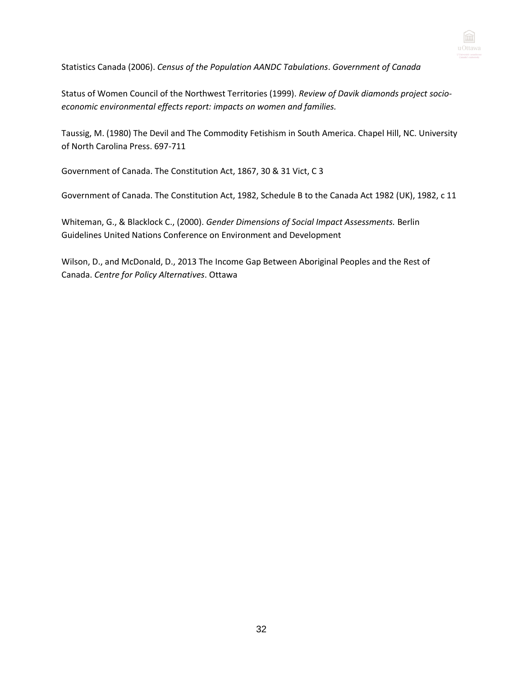

Statistics Canada (2006). *Census of the Population AANDC Tabulations*. *Government of Canada*

Status of Women Council of the Northwest Territories (1999). *Review of Davik diamonds project socioeconomic environmental effects report: impacts on women and families.*

Taussig, M. (1980) The Devil and The Commodity Fetishism in South America. Chapel Hill, NC. University of North Carolina Press. 697-711

Government of Canada. The Constitution Act, 1867, 30 & 31 Vict, C 3

Government of Canada. The Constitution Act, 1982, Schedule B to the Canada Act 1982 (UK), 1982, c 11

Whiteman, G., & Blacklock C., (2000). *Gender Dimensions of Social Impact Assessments.* Berlin Guidelines United Nations Conference on Environment and Development

Wilson, D., and McDonald, D., 2013 The Income Gap Between Aboriginal Peoples and the Rest of Canada. *Centre for Policy Alternatives*. Ottawa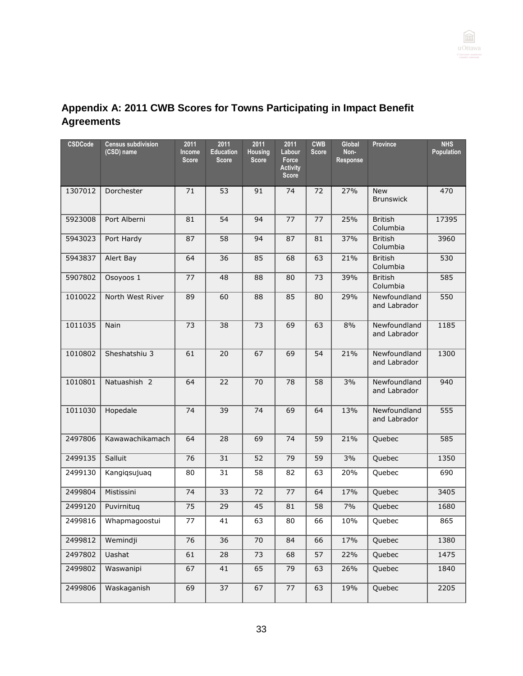

# **Appendix A: 2011 CWB Scores for Towns Participating in Impact Benefit Agreements**

| <b>CSDCode</b> | <b>Census subdivision</b><br>(CSD) name | 2011<br>Income<br><b>Score</b> | 2011<br><b>Education</b><br><b>Score</b> | 2011<br>Housing<br><b>Score</b> | 2011<br>Labour<br>Force<br><b>Activity</b><br><b>Score</b> | <b>CWB</b><br><b>Score</b> | Global<br>Non-<br>Response | Province                       | <b>NHS</b><br>Population |
|----------------|-----------------------------------------|--------------------------------|------------------------------------------|---------------------------------|------------------------------------------------------------|----------------------------|----------------------------|--------------------------------|--------------------------|
| 1307012        | Dorchester                              | 71                             | 53                                       | 91                              | 74                                                         | 72                         | 27%                        | <b>New</b><br><b>Brunswick</b> | 470                      |
| 5923008        | Port Alberni                            | 81                             | 54                                       | 94                              | 77                                                         | 77                         | 25%                        | <b>British</b><br>Columbia     | 17395                    |
| 5943023        | Port Hardy                              | 87                             | 58                                       | 94                              | 87                                                         | 81                         | 37%                        | <b>British</b><br>Columbia     | 3960                     |
| 5943837        | Alert Bay                               | 64                             | 36                                       | 85                              | 68                                                         | 63                         | 21%                        | <b>British</b><br>Columbia     | 530                      |
| 5907802        | Osoyoos 1                               | 77                             | 48                                       | 88                              | 80                                                         | 73                         | 39%                        | <b>British</b><br>Columbia     | 585                      |
| 1010022        | North West River                        | 89                             | 60                                       | 88                              | 85                                                         | 80                         | 29%                        | Newfoundland<br>and Labrador   | 550                      |
| 1011035        | Nain                                    | 73                             | 38                                       | 73                              | 69                                                         | 63                         | 8%                         | Newfoundland<br>and Labrador   | 1185                     |
| 1010802        | Sheshatshiu 3                           | 61                             | 20                                       | 67                              | 69                                                         | 54                         | 21%                        | Newfoundland<br>and Labrador   | 1300                     |
| 1010801        | Natuashish 2                            | 64                             | 22                                       | 70                              | 78                                                         | 58                         | 3%                         | Newfoundland<br>and Labrador   | 940                      |
| 1011030        | Hopedale                                | 74                             | 39                                       | 74                              | 69                                                         | 64                         | 13%                        | Newfoundland<br>and Labrador   | 555                      |
| 2497806        | Kawawachikamach                         | 64                             | 28                                       | 69                              | 74                                                         | 59                         | 21%                        | Quebec                         | 585                      |
| 2499135        | Salluit                                 | 76                             | 31                                       | 52                              | 79                                                         | 59                         | 3%                         | Quebec                         | 1350                     |
| 2499130        | Kangiqsujuaq                            | 80                             | 31                                       | 58                              | 82                                                         | 63                         | 20%                        | Quebec                         | 690                      |
| 2499804        | Mistissini                              | 74                             | 33                                       | 72                              | 77                                                         | 64                         | 17%                        | Quebec                         | 3405                     |
| 2499120        | Puvirnituq                              | 75                             | 29                                       | 45                              | 81                                                         | 58                         | 7%                         | Quebec                         | 1680                     |
| 2499816        | Whapmagoostui                           | 77                             | 41                                       | 63                              | 80                                                         | 66                         | 10%                        | Quebec                         | 865                      |
| 2499812        | Wemindji                                | 76                             | 36                                       | 70                              | 84                                                         | 66                         | 17%                        | Quebec                         | 1380                     |
| 2497802        | Uashat                                  | 61                             | 28                                       | 73                              | 68                                                         | 57                         | 22%                        | Quebec                         | 1475                     |
| 2499802        | Waswanipi                               | 67                             | 41                                       | 65                              | 79                                                         | 63                         | 26%                        | Quebec                         | 1840                     |
| 2499806        | Waskaganish                             | 69                             | 37                                       | 67                              | 77                                                         | 63                         | 19%                        | Quebec                         | 2205                     |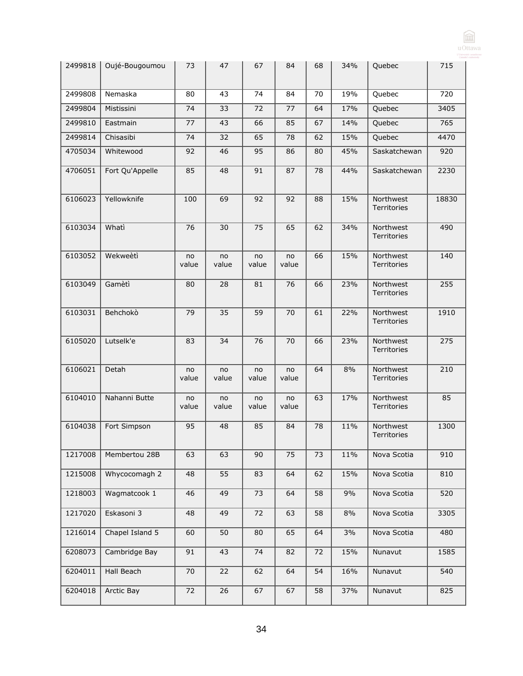|         |                 |             |                 |             |             |    |     |                                 | u Ottawa |
|---------|-----------------|-------------|-----------------|-------------|-------------|----|-----|---------------------------------|----------|
| 2499818 | Oujé-Bougoumou  | 73          | 47              | 67          | 84          | 68 | 34% | Quebec                          | 715      |
| 2499808 | Nemaska         | 80          | 43              | 74          | 84          | 70 | 19% | Quebec                          | 720      |
| 2499804 | Mistissini      | 74          | 33              | 72          | 77          | 64 | 17% | Quebec                          | 3405     |
| 2499810 | Eastmain        | 77          | 43              | 66          | 85          | 67 | 14% | Quebec                          | 765      |
| 2499814 | Chisasibi       | 74          | 32              | 65          | 78          | 62 | 15% | Quebec                          | 4470     |
| 4705034 | Whitewood       | 92          | 46              | 95          | 86          | 80 | 45% | Saskatchewan                    | 920      |
| 4706051 | Fort Qu'Appelle | 85          | 48              | 91          | 87          | 78 | 44% | Saskatchewan                    | 2230     |
| 6106023 | Yellowknife     | 100         | 69              | 92          | 92          | 88 | 15% | Northwest<br>Territories        | 18830    |
| 6103034 | Whati           | 76          | 30              | 75          | 65          | 62 | 34% | Northwest<br><b>Territories</b> | 490      |
| 6103052 | Wekweètì        | no<br>value | no<br>value     | no<br>value | no<br>value | 66 | 15% | Northwest<br>Territories        | 140      |
| 6103049 | Gamètì          | 80          | 28              | 81          | 76          | 66 | 23% | Northwest<br>Territories        | 255      |
| 6103031 | Behchokò        | 79          | $\overline{35}$ | 59          | 70          | 61 | 22% | Northwest<br><b>Territories</b> | 1910     |
| 6105020 | Lutselk'e       | 83          | 34              | 76          | 70          | 66 | 23% | Northwest<br>Territories        | 275      |
| 6106021 | Detah           | no<br>value | no<br>value     | no<br>value | no<br>value | 64 | 8%  | Northwest<br><b>Territories</b> | 210      |
| 6104010 | Nahanni Butte   | no<br>value | no<br>value     | no<br>value | no<br>value | 63 | 17% | Northwest<br><b>Territories</b> | 85       |
| 6104038 | Fort Simpson    | 95          | 48              | 85          | 84          | 78 | 11% | Northwest<br><b>Territories</b> | 1300     |
| 1217008 | Membertou 28B   | 63          | 63              | 90          | 75          | 73 | 11% | Nova Scotia                     | 910      |
| 1215008 | Whycocomagh 2   | 48          | $\overline{55}$ | 83          | 64          | 62 | 15% | Nova Scotia                     | 810      |
| 1218003 | Wagmatcook 1    | 46          | 49              | 73          | 64          | 58 | 9%  | Nova Scotia                     | 520      |
| 1217020 | Eskasoni 3      | 48          | 49              | 72          | 63          | 58 | 8%  | Nova Scotia                     | 3305     |
| 1216014 | Chapel Island 5 | 60          | $\overline{50}$ | 80          | 65          | 64 | 3%  | Nova Scotia                     | 480      |
| 6208073 | Cambridge Bay   | 91          | 43              | 74          | 82          | 72 | 15% | Nunavut                         | 1585     |
| 6204011 | Hall Beach      | 70          | 22              | 62          | 64          | 54 | 16% | Nunavut                         | 540      |
| 6204018 | Arctic Bay      | 72          | 26              | 67          | 67          | 58 | 37% | Nunavut                         | 825      |

 $\boxed{\widehat{\text{m}}}$ 

34